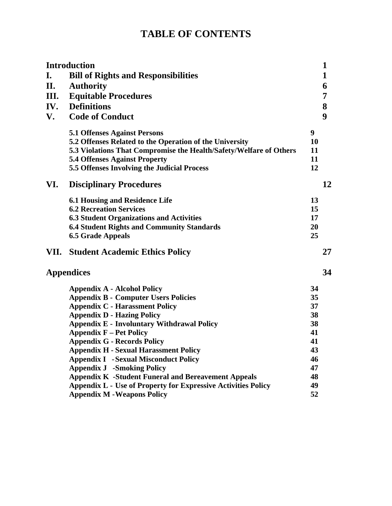# **TABLE OF CONTENTS**

| <b>Introduction</b> |                                                                      |    | $\mathbf 1$ |
|---------------------|----------------------------------------------------------------------|----|-------------|
| I.                  | <b>Bill of Rights and Responsibilities</b>                           |    | 1           |
| II.                 | <b>Authority</b>                                                     |    | 6           |
| Ш.                  | <b>Equitable Procedures</b>                                          |    | 7           |
| IV.                 | <b>Definitions</b>                                                   |    | 8           |
| V.                  | <b>Code of Conduct</b>                                               |    | 9           |
|                     | <b>5.1 Offenses Against Persons</b>                                  | 9  |             |
|                     | 5.2 Offenses Related to the Operation of the University              | 10 |             |
|                     | 5.3 Violations That Compromise the Health/Safety/Welfare of Others   | 11 |             |
|                     | <b>5.4 Offenses Against Property</b>                                 | 11 |             |
|                     | 5.5 Offenses Involving the Judicial Process                          | 12 |             |
| VI.                 | <b>Disciplinary Procedures</b>                                       |    | 12          |
|                     | <b>6.1 Housing and Residence Life</b>                                | 13 |             |
|                     | <b>6.2 Recreation Services</b>                                       | 15 |             |
|                     | <b>6.3 Student Organizations and Activities</b>                      | 17 |             |
|                     | <b>6.4 Student Rights and Community Standards</b>                    | 20 |             |
|                     | <b>6.5 Grade Appeals</b>                                             | 25 |             |
| VII.                | <b>Student Academic Ethics Policy</b>                                |    | 27          |
| <b>Appendices</b>   |                                                                      |    | 34          |
|                     | <b>Appendix A - Alcohol Policy</b>                                   | 34 |             |
|                     | <b>Appendix B - Computer Users Policies</b>                          | 35 |             |
|                     | <b>Appendix C - Harassment Policy</b>                                | 37 |             |
|                     | <b>Appendix D - Hazing Policy</b>                                    | 38 |             |
|                     | <b>Appendix E - Involuntary Withdrawal Policy</b>                    | 38 |             |
|                     | <b>Appendix F – Pet Policy</b>                                       | 41 |             |
|                     | <b>Appendix G - Records Policy</b>                                   | 41 |             |
|                     | <b>Appendix H - Sexual Harassment Policy</b>                         | 43 |             |
|                     | <b>Appendix I</b> - Sexual Misconduct Policy                         | 46 |             |
|                     | <b>Appendix J -Smoking Policy</b>                                    | 47 |             |
|                     | <b>Appendix K</b> -Student Funeral and Bereavement Appeals           | 48 |             |
|                     | <b>Appendix L - Use of Property for Expressive Activities Policy</b> | 49 |             |
|                     | <b>Appendix M - Weapons Policy</b>                                   | 52 |             |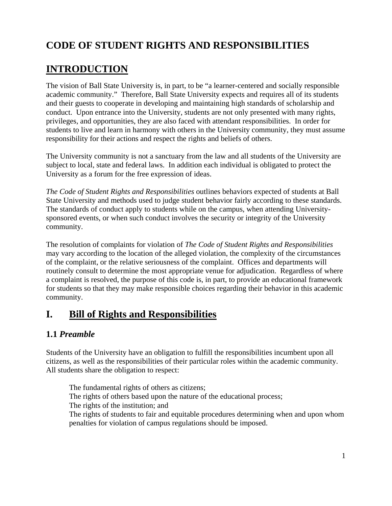# **CODE OF STUDENT RIGHTS AND RESPONSIBILITIES**

# **INTRODUCTION**

The vision of Ball State University is, in part, to be "a learner-centered and socially responsible academic community." Therefore, Ball State University expects and requires all of its students and their guests to cooperate in developing and maintaining high standards of scholarship and conduct. Upon entrance into the University, students are not only presented with many rights, privileges, and opportunities, they are also faced with attendant responsibilities. In order for students to live and learn in harmony with others in the University community, they must assume responsibility for their actions and respect the rights and beliefs of others.

The University community is not a sanctuary from the law and all students of the University are subject to local, state and federal laws. In addition each individual is obligated to protect the University as a forum for the free expression of ideas.

*The Code of Student Rights and Responsibilities* outlines behaviors expected of students at Ball State University and methods used to judge student behavior fairly according to these standards. The standards of conduct apply to students while on the campus, when attending Universitysponsored events, or when such conduct involves the security or integrity of the University community.

The resolution of complaints for violation of *The Code of Student Rights and Responsibilities* may vary according to the location of the alleged violation, the complexity of the circumstances of the complaint, or the relative seriousness of the complaint. Offices and departments will routinely consult to determine the most appropriate venue for adjudication. Regardless of where a complaint is resolved, the purpose of this code is, in part, to provide an educational framework for students so that they may make responsible choices regarding their behavior in this academic community.

# **I. Bill of Rights and Responsibilities**

# **1.1** *Preamble*

Students of the University have an obligation to fulfill the responsibilities incumbent upon all citizens, as well as the responsibilities of their particular roles within the academic community. All students share the obligation to respect:

The fundamental rights of others as citizens; The rights of others based upon the nature of the educational process; The rights of the institution; and The rights of students to fair and equitable procedures determining when and upon whom penalties for violation of campus regulations should be imposed.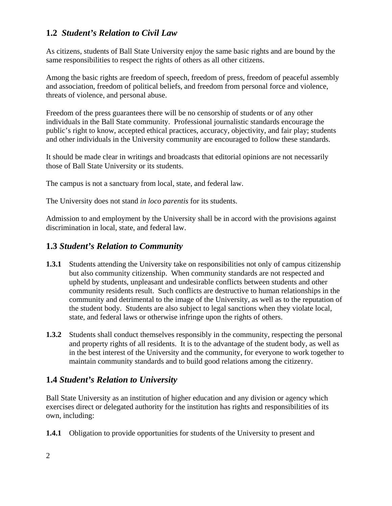## **1.2** *Student's Relation to Civil Law*

As citizens, students of Ball State University enjoy the same basic rights and are bound by the same responsibilities to respect the rights of others as all other citizens.

Among the basic rights are freedom of speech, freedom of press, freedom of peaceful assembly and association, freedom of political beliefs, and freedom from personal force and violence, threats of violence, and personal abuse.

Freedom of the press guarantees there will be no censorship of students or of any other individuals in the Ball State community. Professional journalistic standards encourage the public's right to know, accepted ethical practices, accuracy, objectivity, and fair play; students and other individuals in the University community are encouraged to follow these standards.

It should be made clear in writings and broadcasts that editorial opinions are not necessarily those of Ball State University or its students.

The campus is not a sanctuary from local, state, and federal law.

The University does not stand *in loco parentis* for its students.

Admission to and employment by the University shall be in accord with the provisions against discrimination in local, state, and federal law.

#### **1.3** *Student's Relation to Community*

- **1.3.1** Students attending the University take on responsibilities not only of campus citizenship but also community citizenship. When community standards are not respected and upheld by students, unpleasant and undesirable conflicts between students and other community residents result. Such conflicts are destructive to human relationships in the community and detrimental to the image of the University, as well as to the reputation of the student body. Students are also subject to legal sanctions when they violate local, state, and federal laws or otherwise infringe upon the rights of others.
- **1.3.2** Students shall conduct themselves responsibly in the community, respecting the personal and property rights of all residents. It is to the advantage of the student body, as well as in the best interest of the University and the community, for everyone to work together to maintain community standards and to build good relations among the citizenry.

## **1.4** *Student's Relation to University*

Ball State University as an institution of higher education and any division or agency which exercises direct or delegated authority for the institution has rights and responsibilities of its own, including:

**1.4.1** Obligation to provide opportunities for students of the University to present and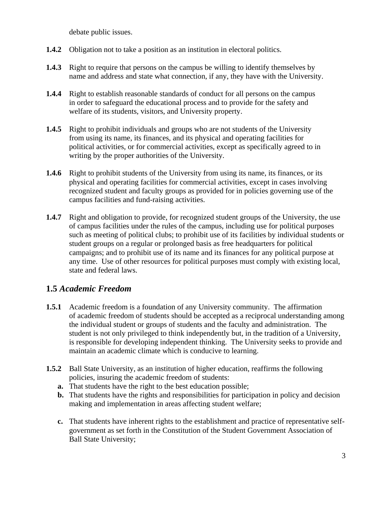debate public issues.

- **1.4.2** Obligation not to take a position as an institution in electoral politics.
- **1.4.3** Right to require that persons on the campus be willing to identify themselves by name and address and state what connection, if any, they have with the University.
- **1.4.4** Right to establish reasonable standards of conduct for all persons on the campus in order to safeguard the educational process and to provide for the safety and welfare of its students, visitors, and University property.
- **1.4.5** Right to prohibit individuals and groups who are not students of the University from using its name, its finances, and its physical and operating facilities for political activities, or for commercial activities, except as specifically agreed to in writing by the proper authorities of the University.
- **1.4.6** Right to prohibit students of the University from using its name, its finances, or its physical and operating facilities for commercial activities, except in cases involving recognized student and faculty groups as provided for in policies governing use of the campus facilities and fund-raising activities.
- **1.4.7** Right and obligation to provide, for recognized student groups of the University, the use of campus facilities under the rules of the campus, including use for political purposes such as meeting of political clubs; to prohibit use of its facilities by individual students or student groups on a regular or prolonged basis as free headquarters for political campaigns; and to prohibit use of its name and its finances for any political purpose at any time. Use of other resources for political purposes must comply with existing local, state and federal laws.

## **1.5** *Academic Freedom*

- **1.5.1** Academic freedom is a foundation of any University community. The affirmation of academic freedom of students should be accepted as a reciprocal understanding among the individual student or groups of students and the faculty and administration. The student is not only privileged to think independently but, in the tradition of a University, is responsible for developing independent thinking. The University seeks to provide and maintain an academic climate which is conducive to learning.
- **1.5.2** Ball State University, as an institution of higher education, reaffirms the following policies, insuring the academic freedom of students:
	- **a.** That students have the right to the best education possible;
	- **b.** That students have the rights and responsibilities for participation in policy and decision making and implementation in areas affecting student welfare;
	- **c.** That students have inherent rights to the establishment and practice of representative selfgovernment as set forth in the Constitution of the Student Government Association of Ball State University;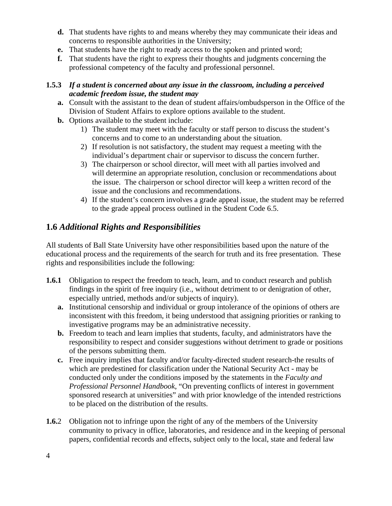- **d.** That students have rights to and means whereby they may communicate their ideas and concerns to responsible authorities in the University;
- **e.** That students have the right to ready access to the spoken and printed word;
- **f.** That students have the right to express their thoughts and judgments concerning the professional competency of the faculty and professional personnel.

#### **1.5.3** *If a student is concerned about any issue in the classroom, including a perceived academic freedom issue, the student may*

- **a.** Consult with the assistant to the dean of student affairs/ombudsperson in the Office of the Division of Student Affairs to explore options available to the student.
- **b.** Options available to the student include:
	- 1) The student may meet with the faculty or staff person to discuss the student's concerns and to come to an understanding about the situation.
	- 2) If resolution is not satisfactory, the student may request a meeting with the individual's department chair or supervisor to discuss the concern further.
	- 3) The chairperson or school director, will meet with all parties involved and will determine an appropriate resolution, conclusion or recommendations about the issue. The chairperson or school director will keep a written record of the issue and the conclusions and recommendations.
	- 4) If the student's concern involves a grade appeal issue, the student may be referred to the grade appeal process outlined in the Student Code 6.5.

## **1.6** *Additional Rights and Responsibilities*

All students of Ball State University have other responsibilities based upon the nature of the educational process and the requirements of the search for truth and its free presentation. These rights and responsibilities include the following:

- **1.6.1** Obligation to respect the freedom to teach, learn, and to conduct research and publish findings in the spirit of free inquiry (i.e., without detriment to or denigration of other, especially untried, methods and/or subjects of inquiry).
	- **a.** Institutional censorship and individual or group intolerance of the opinions of others are inconsistent with this freedom, it being understood that assigning priorities or ranking to investigative programs may be an administrative necessity.
	- **b.** Freedom to teach and learn implies that students, faculty, and administrators have the responsibility to respect and consider suggestions without detriment to grade or positions of the persons submitting them.
	- **c.** Free inquiry implies that faculty and/or faculty-directed student research-the results of which are predestined for classification under the National Security Act - may be conducted only under the conditions imposed by the statements in the *Faculty and Professional Personnel Handbook*, "On preventing conflicts of interest in government sponsored research at universities" and with prior knowledge of the intended restrictions to be placed on the distribution of the results.
- **1.6.**2 Obligation not to infringe upon the right of any of the members of the University community to privacy in office, laboratories, and residence and in the keeping of personal papers, confidential records and effects, subject only to the local, state and federal law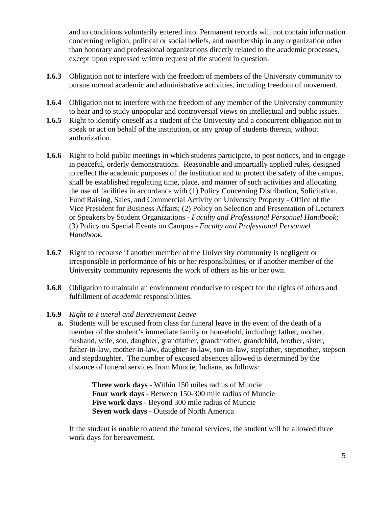and to conditions voluntarily entered into. Permanent records will not contain information concerning religion, political or social beliefs, and membership in any organization other than honorary and professional organizations directly related to the academic processes, except upon expressed written request of the student in question.

- **1.6.3** Obligation not to interfere with the freedom of members of the University community to pursue normal academic and administrative activities, including freedom of movement.
- **1.6.4** Obligation not to interfere with the freedom of any member of the University community to hear and to study unpopular and controversial views on intellectual and public issues.
- **1.6.5** Right to identify oneself as a student of the University and a concurrent obligation not to speak or act on behalf of the institution, or any group of students therein, without authorization.
- **1.6.6** Right to hold public meetings in which students participate, to post notices, and to engage in peaceful, orderly demonstrations. Reasonable and impartially applied rules, designed to reflect the academic purposes of the institution and to protect the safety of the campus, shall be established regulating time, place, and manner of such activities and allocating the use of facilities in accordance with (1) Policy Concerning Distribution, Solicitation, Fund Raising, Sales, and Commercial Activity on University Property - Office of the Vice President for Business Affairs; (2) Policy on Selection and Presentation of Lecturers or Speakers by Student Organizations - *Faculty and Professional Personnel Handbook;* (3) Policy on Special Events on Campus - *Faculty and Professional Personnel Handbook.*
- **1.6.7** Right to recourse if another member of the University community is negligent or irresponsible in performance of his or her responsibilities, or if another member of the University community represents the work of others as his or her own.
- **1.6.8** Obligation to maintain an environment conducive to respect for the rights of others and fulfillment of *academic* responsibilities.

#### **1.6.9** *Right to Funeral and Bereavement Leave*

 **a.** Students will be excused from class for funeral leave in the event of the death of a member of the student's immediate family or household, including: father, mother, husband, wife, son, daughter, grandfather, grandmother, grandchild, brother, sister, father-in-law, mother-in-law, daughter-in-law, son-in-law, stepfather, stepmother, stepson and stepdaughter. The number of excused absences allowed is determined by the distance of funeral services from Muncie, Indiana, as follows:

> **Three work days** - Within 150 miles radius of Muncie **Four work days** - Between 150-300 mile radius of Muncie **Five work days** - Beyond 300 mile radius of Muncie **Seven work days** - Outside of North America

If the student is unable to attend the funeral services, the student will be allowed three work days for bereavement.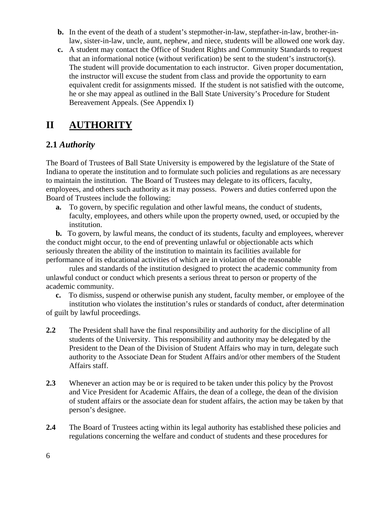- **b.** In the event of the death of a student's stepmother-in-law, stepfather-in-law, brother-inlaw, sister-in-law, uncle, aunt, nephew, and niece, students will be allowed one work day.
- **c.** A student may contact the Office of Student Rights and Community Standards to request that an informational notice (without verification) be sent to the student's instructor(s). The student will provide documentation to each instructor. Given proper documentation, the instructor will excuse the student from class and provide the opportunity to earn equivalent credit for assignments missed. If the student is not satisfied with the outcome, he or she may appeal as outlined in the Ball State University's Procedure for Student Bereavement Appeals. (See Appendix I)

# **II AUTHORITY**

# **2.1** *Authority*

The Board of Trustees of Ball State University is empowered by the legislature of the State of Indiana to operate the institution and to formulate such policies and regulations as are necessary to maintain the institution. The Board of Trustees may delegate to its officers, faculty, employees, and others such authority as it may possess. Powers and duties conferred upon the Board of Trustees include the following:

 **a.** To govern, by specific regulation and other lawful means, the conduct of students, faculty, employees, and others while upon the property owned, used, or occupied by the institution.

 **b.** To govern, by lawful means, the conduct of its students, faculty and employees, wherever the conduct might occur, to the end of preventing unlawful or objectionable acts which seriously threaten the ability of the institution to maintain its facilities available for performance of its educational activities of which are in violation of the reasonable

 rules and standards of the institution designed to protect the academic community from unlawful conduct or conduct which presents a serious threat to person or property of the academic community.

 **c.** To dismiss, suspend or otherwise punish any student, faculty member, or employee of the institution who violates the institution's rules or standards of conduct, after determination of guilt by lawful proceedings.

- **2.2** The President shall have the final responsibility and authority for the discipline of all students of the University. This responsibility and authority may be delegated by the President to the Dean of the Division of Student Affairs who may in turn, delegate such authority to the Associate Dean for Student Affairs and/or other members of the Student Affairs staff.
- **2.3** Whenever an action may be or is required to be taken under this policy by the Provost and Vice President for Academic Affairs, the dean of a college, the dean of the division of student affairs or the associate dean for student affairs, the action may be taken by that person's designee.
- **2.4** The Board of Trustees acting within its legal authority has established these policies and regulations concerning the welfare and conduct of students and these procedures for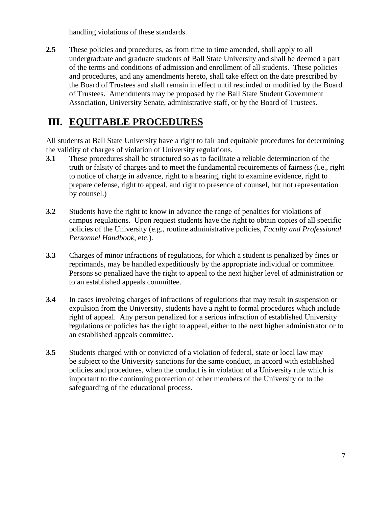handling violations of these standards.

2.5 These policies and procedures, as from time to time amended, shall apply to all undergraduate and graduate students of Ball State University and shall be deemed a part of the terms and conditions of admission and enrollment of all students. These policies and procedures, and any amendments hereto, shall take effect on the date prescribed by the Board of Trustees and shall remain in effect until rescinded or modified by the Board of Trustees. Amendments may be proposed by the Ball State Student Government Association, University Senate, administrative staff, or by the Board of Trustees.

# **III. EQUITABLE PROCEDURES**

All students at Ball State University have a right to fair and equitable procedures for determining the validity of charges of violation of University regulations.

- **3.1** These procedures shall be structured so as to facilitate a reliable determination of the truth or falsity of charges and to meet the fundamental requirements of fairness (i.e., right to notice of charge in advance, right to a hearing, right to examine evidence, right to prepare defense, right to appeal, and right to presence of counsel, but not representation by counsel.)
- **3.2** Students have the right to know in advance the range of penalties for violations of campus regulations. Upon request students have the right to obtain copies of all specific policies of the University (e.g., routine administrative policies, *Faculty and Professional Personnel Handbook*, etc.).
- **3.3** Charges of minor infractions of regulations, for which a student is penalized by fines or reprimands, may be handled expeditiously by the appropriate individual or committee. Persons so penalized have the right to appeal to the next higher level of administration or to an established appeals committee.
- **3.4** In cases involving charges of infractions of regulations that may result in suspension or expulsion from the University, students have a right to formal procedures which include right of appeal. Any person penalized for a serious infraction of established University regulations or policies has the right to appeal, either to the next higher administrator or to an established appeals committee.
- **3.5** Students charged with or convicted of a violation of federal, state or local law may be subject to the University sanctions for the same conduct, in accord with established policies and procedures, when the conduct is in violation of a University rule which is important to the continuing protection of other members of the University or to the safeguarding of the educational process.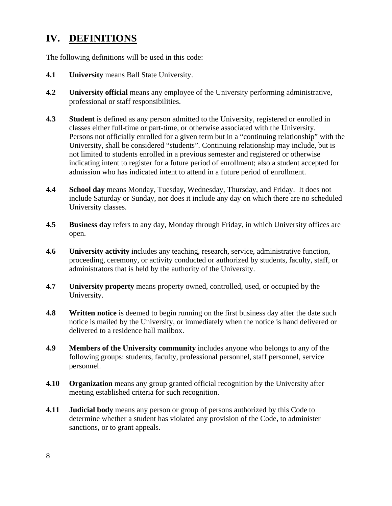# **IV. DEFINITIONS**

The following definitions will be used in this code:

- **4.1 University** means Ball State University.
- **4.2 University official** means any employee of the University performing administrative, professional or staff responsibilities.
- **4.3** Student is defined as any person admitted to the University, registered or enrolled in classes either full-time or part-time, or otherwise associated with the University. Persons not officially enrolled for a given term but in a "continuing relationship" with the University, shall be considered "students". Continuing relationship may include, but is not limited to students enrolled in a previous semester and registered or otherwise indicating intent to register for a future period of enrollment; also a student accepted for admission who has indicated intent to attend in a future period of enrollment.
- **4.4 School day** means Monday, Tuesday, Wednesday, Thursday, and Friday. It does not include Saturday or Sunday, nor does it include any day on which there are no scheduled University classes.
- **4.5 Business day** refers to any day, Monday through Friday, in which University offices are open.
- **4.6 University activity** includes any teaching, research, service, administrative function, proceeding, ceremony, or activity conducted or authorized by students, faculty, staff, or administrators that is held by the authority of the University.
- **4.7 University property** means property owned, controlled, used, or occupied by the University.
- **4.8** Written notice is deemed to begin running on the first business day after the date such notice is mailed by the University, or immediately when the notice is hand delivered or delivered to a residence hall mailbox.
- **4.9 Members of the University community** includes anyone who belongs to any of the following groups: students, faculty, professional personnel, staff personnel, service personnel.
- **4.10 Organization** means any group granted official recognition by the University after meeting established criteria for such recognition.
- **4.11 Judicial body** means any person or group of persons authorized by this Code to determine whether a student has violated any provision of the Code, to administer sanctions, or to grant appeals.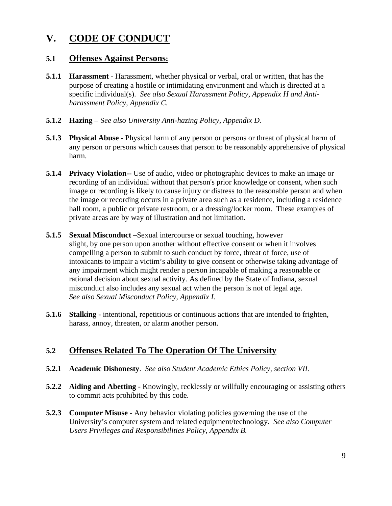# **V. CODE OF CONDUCT**

#### **5.1 Offenses Against Persons:**

- **5.1.1 Harassment** Harassment, whether physical or verbal, oral or written, that has the purpose of creating a hostile or intimidating environment and which is directed at a specific individual(s). *See also Sexual Harassment Policy, Appendix H and Antiharassment Policy, Appendix C.*
- **5.1.2 Hazing** S*ee also University Anti-hazing Policy, Appendix D.*
- **5.1.3 Physical Abuse** Physical harm of any person or persons or threat of physical harm of any person or persons which causes that person to be reasonably apprehensive of physical harm.
- **5.1.4 Privacy Violation--** Use of audio, video or photographic devices to make an image or recording of an individual without that person's prior knowledge or consent, when such image or recording is likely to cause injury or distress to the reasonable person and when the image or recording occurs in a private area such as a residence, including a residence hall room, a public or private restroom, or a dressing/locker room. These examples of private areas are by way of illustration and not limitation.
- **5.1.5 Sexual Misconduct –**Sexual intercourse or sexual touching, however slight, by one person upon another without effective consent or when it involves compelling a person to submit to such conduct by force, threat of force, use of intoxicants to impair a victim's ability to give consent or otherwise taking advantage of any impairment which might render a person incapable of making a reasonable or rational decision about sexual activity. As defined by the State of Indiana, sexual misconduct also includes any sexual act when the person is not of legal age. *See also Sexual Misconduct Policy, Appendix I.*
- **5.1.6** Stalking intentional, repetitious or continuous actions that are intended to frighten, harass, annoy, threaten, or alarm another person.

## **5.2 Offenses Related To The Operation Of The University**

- **5.2.1 Academic Dishonesty**. *See also Student Academic Ethics Policy, section VII.*
- **5.2.2 Aiding and Abetting** Knowingly, recklessly or willfully encouraging or assisting others to commit acts prohibited by this code.
- **5.2.3 Computer Misuse** Any behavior violating policies governing the use of the University's computer system and related equipment/technology. *See also Computer Users Privileges and Responsibilities Policy, Appendix B.*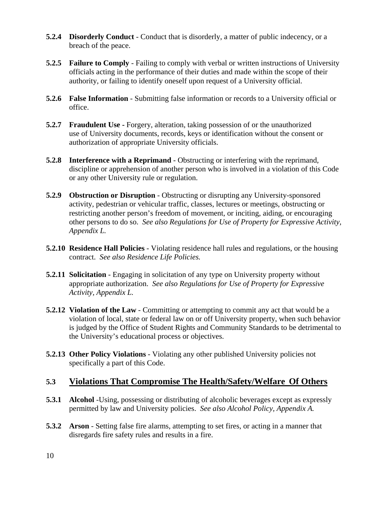- **5.2.4 Disorderly Conduct** Conduct that is disorderly, a matter of public indecency, or a breach of the peace.
- **5.2.5 Failure to Comply** Failing to comply with verbal or written instructions of University officials acting in the performance of their duties and made within the scope of their authority, or failing to identify oneself upon request of a University official.
- **5.2.6 False Information** Submitting false information or records to a University official or office.
- **5.2.7 Fraudulent Use Forgery, alteration, taking possession of or the unauthorized** use of University documents, records, keys or identification without the consent or authorization of appropriate University officials.
- **5.2.8 Interference with a Reprimand** Obstructing or interfering with the reprimand, discipline or apprehension of another person who is involved in a violation of this Code or any other University rule or regulation.
- **5.2.9 Obstruction or Disruption** Obstructing or disrupting any University-sponsored activity, pedestrian or vehicular traffic, classes, lectures or meetings, obstructing or restricting another person's freedom of movement, or inciting, aiding, or encouraging other persons to do so. *See also Regulations for Use of Property for Expressive Activity, Appendix L.*
- **5.2.10 Residence Hall Policies** Violating residence hall rules and regulations, or the housing contract. *See also Residence Life Policies.*
- **5.2.11 Solicitation** Engaging in solicitation of any type on University property without appropriate authorization. *See also Regulations for Use of Property for Expressive Activity, Appendix L.*
- **5.2.12 Violation of the Law** Committing or attempting to commit any act that would be a violation of local, state or federal law on or off University property, when such behavior is judged by the Office of Student Rights and Community Standards to be detrimental to the University's educational process or objectives.
- **5.2.13 Other Policy Violations** Violating any other published University policies not specifically a part of this Code.

#### **5.3 Violations That Compromise The Health/Safety/Welfare Of Others**

- **5.3.1 Alcohol** -Using, possessing or distributing of alcoholic beverages except as expressly permitted by law and University policies. *See also Alcohol Policy, Appendix A.*
- **5.3.2 Arson** Setting false fire alarms, attempting to set fires, or acting in a manner that disregards fire safety rules and results in a fire.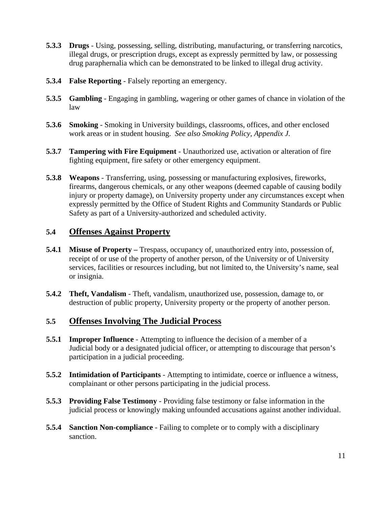- **5.3.3 Drugs** Using, possessing, selling, distributing, manufacturing, or transferring narcotics, illegal drugs, or prescription drugs, except as expressly permitted by law, or possessing drug paraphernalia which can be demonstrated to be linked to illegal drug activity.
- **5.3.4 False Reporting** Falsely reporting an emergency.
- **5.3.5 Gambling** Engaging in gambling, wagering or other games of chance in violation of the law
- **5.3.6 Smoking** Smoking in University buildings, classrooms, offices, and other enclosed work areas or in student housing. *See also Smoking Policy, Appendix J.*
- **5.3.7 Tampering with Fire Equipment** Unauthorized use, activation or alteration of fire fighting equipment, fire safety or other emergency equipment.
- **5.3.8 Weapons** Transferring, using, possessing or manufacturing explosives, fireworks, firearms, dangerous chemicals, or any other weapons (deemed capable of causing bodily injury or property damage), on University property under any circumstances except when expressly permitted by the Office of Student Rights and Community Standards or Public Safety as part of a University-authorized and scheduled activity.

## **5.4 Offenses Against Property**

- **5.4.1 Misuse of Property –** Trespass, occupancy of, unauthorized entry into, possession of, receipt of or use of the property of another person, of the University or of University services, facilities or resources including, but not limited to, the University's name, seal or insignia.
- **5.4.2 Theft, Vandalism** Theft, vandalism, unauthorized use, possession, damage to, or destruction of public property, University property or the property of another person.

## **5.5 Offenses Involving The Judicial Process**

- **5.5.1 Improper Influence** Attempting to influence the decision of a member of a Judicial body or a designated judicial officer, or attempting to discourage that person's participation in a judicial proceeding.
- **5.5.2 Intimidation of Participants** Attempting to intimidate, coerce or influence a witness, complainant or other persons participating in the judicial process.
- **5.5.3 Providing False Testimony** Providing false testimony or false information in the judicial process or knowingly making unfounded accusations against another individual.
- **5.5.4 Sanction Non-compliance** Failing to complete or to comply with a disciplinary sanction.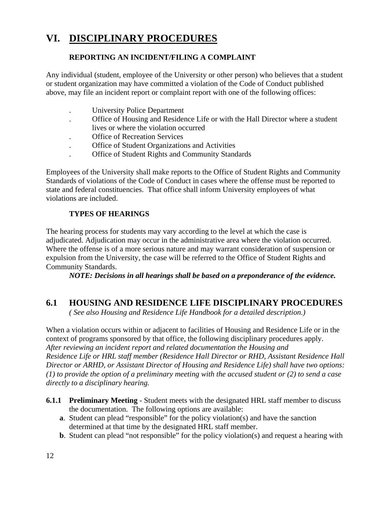# **VI. DISCIPLINARY PROCEDURES**

#### **REPORTING AN INCIDENT/FILING A COMPLAINT**

Any individual (student, employee of the University or other person) who believes that a student or student organization may have committed a violation of the Code of Conduct published above, may file an incident report or complaint report with one of the following offices:

- . University Police Department
- . Office of Housing and Residence Life or with the Hall Director where a student lives or where the violation occurred
- . Office of Recreation Services
- . Office of Student Organizations and Activities
- . Office of Student Rights and Community Standards

Employees of the University shall make reports to the Office of Student Rights and Community Standards of violations of the Code of Conduct in cases where the offense must be reported to state and federal constituencies. That office shall inform University employees of what violations are included.

#### **TYPES OF HEARINGS**

The hearing process for students may vary according to the level at which the case is adjudicated. Adjudication may occur in the administrative area where the violation occurred. Where the offense is of a more serious nature and may warrant consideration of suspension or expulsion from the University, the case will be referred to the Office of Student Rights and Community Standards.

*NOTE: Decisions in all hearings shall be based on a preponderance of the evidence.*

## **6.1 HOUSING AND RESIDENCE LIFE DISCIPLINARY PROCEDURES**

*( See also Housing and Residence Life Handbook for a detailed description.)*

When a violation occurs within or adjacent to facilities of Housing and Residence Life or in the context of programs sponsored by that office, the following disciplinary procedures apply. *After reviewing an incident report and related documentation the Housing and Residence Life or HRL staff member (Residence Hall Director or RHD, Assistant Residence Hall Director or ARHD, or Assistant Director of Housing and Residence Life) shall have two options: (1) to provide the option of a preliminary meeting with the accused student or (2) to send a case directly to a disciplinary hearing.*

- **6.1.1 Preliminary Meeting** Student meets with the designated HRL staff member to discuss the documentation. The following options are available:
	- **a**. Student can plead "responsible" for the policy violation(s) and have the sanction determined at that time by the designated HRL staff member.
	- **b**. Student can plead "not responsible" for the policy violation(s) and request a hearing with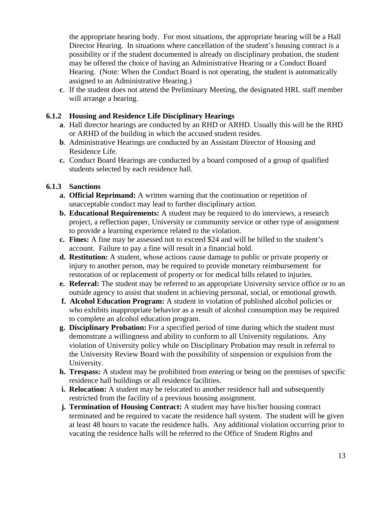the appropriate hearing body. For most situations, the appropriate hearing will be a Hall Director Hearing. In situations where cancellation of the student's housing contract is a possibility or if the student documented is already on disciplinary probation, the student may be offered the choice of having an Administrative Hearing or a Conduct Board Hearing. (Note: When the Conduct Board is not operating, the student is automatically assigned to an Administrative Hearing.)

 **c**. If the student does not attend the Preliminary Meeting, the designated HRL staff member will arrange a hearing.

#### **6.1.2 Housing and Residence Life Disciplinary Hearings**

- **a**. Hall director hearings are conducted by an RHD or ARHD. Usually this will be the RHD or ARHD of the building in which the accused student resides.
- **b**. Administrative Hearings are conducted by an Assistant Director of Housing and Residence Life.
- **c.** Conduct Board Hearings are conducted by a board composed of a group of qualified students selected by each residence hall.

#### **6.1.3 Sanctions**

- **a. Official Reprimand:** A written warning that the continuation or repetition of unacceptable conduct may lead to further disciplinary action.
- **b. Educational Requirements:** A student may be required to do interviews, a research project, a reflection paper, University or community service or other type of assignment to provide a learning experience related to the violation.
- **c. Fines:** A fine may be assessed not to exceed \$24 and will be billed to the student's account. Failure to pay a fine will result in a financial hold.
- **d. Restitution:** A student, whose actions cause damage to public or private property or injury to another person, may be required to provide monetary reimbursement for restoration of or replacement of property or for medical bills related to injuries.
- **e. Referral:** The student may be referred to an appropriate University service office or to an outside agency to assist that student in achieving personal, social, or emotional growth.
- **f. Alcohol Education Program:** A student in violation of published alcohol policies or who exhibits inappropriate behavior as a result of alcohol consumption may be required to complete an alcohol education program.
- **g. Disciplinary Probation:** For a specified period of time during which the student must demonstrate a willingness and ability to conform to all University regulations. Any violation of University policy while on Disciplinary Probation may result in referral to the University Review Board with the possibility of suspension or expulsion from the University.
- **h. Trespass:** A student may be prohibited from entering or being on the premises of specific residence hall buildings or all residence facilities.
- **i. Relocation:** A student may be relocated to another residence hall and subsequently restricted from the facility of a previous housing assignment.
- **j. Termination of Housing Contract:** A student may have his/her housing contract terminated and be required to vacate the residence hall system. The student will be given at least 48 hours to vacate the residence halls. Any additional violation occurring prior to vacating the residence halls will be referred to the Office of Student Rights and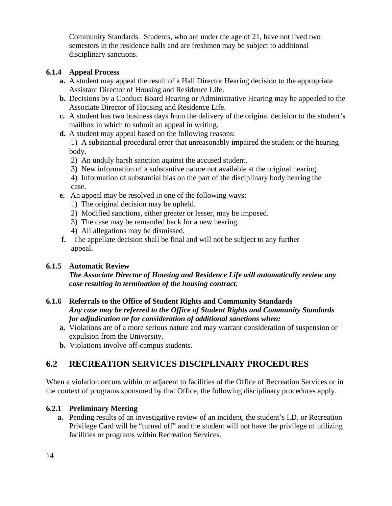Community Standards. Students, who are under the age of 21, have not lived two semesters in the residence halls and are freshmen may be subject to additional disciplinary sanctions.

#### **6.1.4 Appeal Process**

- **a.** A student may appeal the result of a Hall Director Hearing decision to the appropriate Assistant Director of Housing and Residence Life.
- **b.** Decisions by a Conduct Board Hearing or Administrative Hearing may be appealed to the Associate Director of Housing and Residence Life.
- **c.** A student has two business days from the delivery of the original decision to the student's mailbox in which to submit an appeal in writing.
- **d.** A student may appeal based on the following reasons:

1)A substantial procedural error that unreasonably impaired the student or the hearing body.

- 2) An unduly harsh sanction against the accused student.
- 3)New information of a substantive nature not available at the original hearing.
- 4) Information of substantial bias on the part of the disciplinary body hearing the case.
- **e.** An appeal may be resolved in one of the following ways:
	- 1)The original decision may be upheld.
	- 2)Modified sanctions, either greater or lesser, may be imposed.
	- 3) The case may be remanded back for a new hearing.
	- 4) All allegations may be dismissed.
- **f.** The appellate decision shall be final and will not be subject to any further appeal.

#### **6.1.5 Automatic Review**

 *The Associate Director of Housing and Residence Life will automatically review any case resulting in termination of the housing contract.* 

#### **6.1.6 Referrals to the Office of Student Rights and Community Standards**  *Any case may be referred to the Office of Student Rights and Community Standards for adjudication or for consideration of additional sanctions when:*

- **a.** Violations are of a more serious nature and may warrant consideration of suspension or expulsion from the University.
- **b.** Violations involve off-campus students.

# **6.2 RECREATION SERVICES DISCIPLINARY PROCEDURES**

When a violation occurs within or adjacent to facilities of the Office of Recreation Services or in the context of programs sponsored by that Office, the following disciplinary procedures apply.

#### **6.2.1 Preliminary Meeting**

 **a.** Pending results of an investigative review of an incident, the student's I.D. or Recreation Privilege Card will be "turned off" and the student will not have the privilege of utilizing facilities or programs within Recreation Services.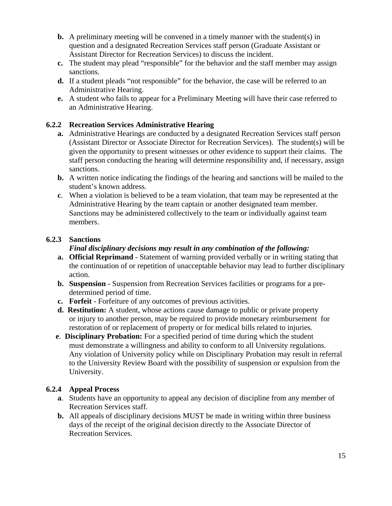- **b.** A preliminary meeting will be convened in a timely manner with the student(s) in question and a designated Recreation Services staff person (Graduate Assistant or Assistant Director for Recreation Services) to discuss the incident.
- **c.** The student may plead "responsible" for the behavior and the staff member may assign sanctions.
- **d.** If a student pleads "not responsible" for the behavior, the case will be referred to an Administrative Hearing.
- **e.** A student who fails to appear for a Preliminary Meeting will have their case referred to an Administrative Hearing.

#### **6.2.2 Recreation Services Administrative Hearing**

- **a.** Administrative Hearings are conducted by a designated Recreation Services staff person (Assistant Director or Associate Director for Recreation Services). The student(s) will be given the opportunity to present witnesses or other evidence to support their claims. The staff person conducting the hearing will determine responsibility and, if necessary, assign sanctions.
- **b.** A written notice indicating the findings of the hearing and sanctions will be mailed to the student's known address.
- **c**. When a violation is believed to be a team violation, that team may be represented at the Administrative Hearing by the team captain or another designated team member. Sanctions may be administered collectively to the team or individually against team members.

#### **6.2.3 Sanctions**

#### *Final disciplinary decisions may result in any combination of the following:*

- **a. Official Reprimand** Statement of warning provided verbally or in writing stating that the continuation of or repetition of unacceptable behavior may lead to further disciplinary action.
- **b. Suspension** Suspension from Recreation Services facilities or programs for a predetermined period of time.
- **c. Forfeit** Forfeiture of any outcomes of previous activities.
- **d. Restitution:** A student, whose actions cause damage to public or private property or injury to another person, may be required to provide monetary reimbursement for restoration of or replacement of property or for medical bills related to injuries.
- **e**. **Disciplinary Probation:** For a specified period of time during which the student must demonstrate a willingness and ability to conform to all University regulations. Any violation of University policy while on Disciplinary Probation may result in referral to the University Review Board with the possibility of suspension or expulsion from the University.

#### **6.2.4 Appeal Process**

- **a**. Students have an opportunity to appeal any decision of discipline from any member of Recreation Services staff.
- **b.** All appeals of disciplinary decisions MUST be made in writing within three business days of the receipt of the original decision directly to the Associate Director of Recreation Services.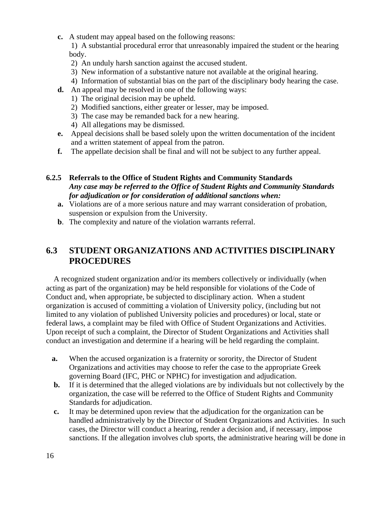**c.** A student may appeal based on the following reasons:

1)A substantial procedural error that unreasonably impaired the student or the hearing body.

- 2) An unduly harsh sanction against the accused student.
- 3) New information of a substantive nature not available at the original hearing.
- 4)Information of substantial bias on the part of the disciplinary body hearing the case.
- **d.** An appeal may be resolved in one of the following ways:
	- 1) The original decision may be upheld.
	- 2)Modified sanctions, either greater or lesser, may be imposed.
	- 3) The case may be remanded back for a new hearing.
	- 4) All allegations may be dismissed.
- **e.** Appeal decisions shall be based solely upon the written documentation of the incident and a written statement of appeal from the patron.
- **f.** The appellate decision shall be final and will not be subject to any further appeal.

#### **6.2.5 Referrals to the Office of Student Rights and Community Standards**   *Any case may be referred to the Office of Student Rights and Community Standards for adjudication or for consideration of additional sanctions when:*

- **a.** Violations are of a more serious nature and may warrant consideration of probation, suspension or expulsion from the University.
- **b**. The complexity and nature of the violation warrants referral.

## **6.3 STUDENT ORGANIZATIONS AND ACTIVITIES DISCIPLINARY PROCEDURES**

 A recognized student organization and/or its members collectively or individually (when acting as part of the organization) may be held responsible for violations of the Code of Conduct and, when appropriate, be subjected to disciplinary action. When a student organization is accused of committing a violation of University policy, (including but not limited to any violation of published University policies and procedures) or local, state or federal laws, a complaint may be filed with Office of Student Organizations and Activities. Upon receipt of such a complaint, the Director of Student Organizations and Activities shall conduct an investigation and determine if a hearing will be held regarding the complaint.

- **a.** When the accused organization is a fraternity or sorority, the Director of Student Organizations and activities may choose to refer the case to the appropriate Greek governing Board (IFC, PHC or NPHC) for investigation and adjudication.
- **b.** If it is determined that the alleged violations are by individuals but not collectively by the organization, the case will be referred to the Office of Student Rights and Community Standards for adjudication.
- **c.** It may be determined upon review that the adjudication for the organization can be handled administratively by the Director of Student Organizations and Activities. In such cases, the Director will conduct a hearing, render a decision and, if necessary, impose sanctions. If the allegation involves club sports, the administrative hearing will be done in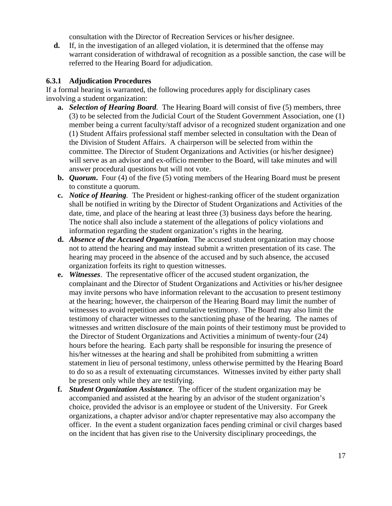consultation with the Director of Recreation Services or his/her designee.

 **d.** If, in the investigation of an alleged violation, it is determined that the offense may warrant consideration of withdrawal of recognition as a possible sanction, the case will be referred to the Hearing Board for adjudication.

#### **6.3.1 Adjudication Procedures**

If a formal hearing is warranted, the following procedures apply for disciplinary cases involving a student organization:

- **a.** *Selection of Hearing Board.* The Hearing Board will consist of five (5) members, three (3) to be selected from the Judicial Court of the Student Government Association, one (1) member being a current faculty/staff advisor of a recognized student organization and one (1) Student Affairs professional staff member selected in consultation with the Dean of the Division of Student Affairs. A chairperson will be selected from within the committee. The Director of Student Organizations and Activities (or his/her designee) will serve as an advisor and ex-officio member to the Board, will take minutes and will answer procedural questions but will not vote.
- **b.** *Quorum***.** Four (4) of the five (5) voting members of the Hearing Board must be present to constitute a quorum.
- **c.** *Notice of Hearing.* The President or highest-ranking officer of the student organization shall be notified in writing by the Director of Student Organizations and Activities of the date, time, and place of the hearing at least three (3) business days before the hearing. The notice shall also include a statement of the allegations of policy violations and information regarding the student organization's rights in the hearing.
- **d.** *Absence of the Accused Organization.* The accused student organization may choose not to attend the hearing and may instead submit a written presentation of its case. The hearing may proceed in the absence of the accused and by such absence, the accused organization forfeits its right to question witnesses.
- **e.** *Witnesses*. The representative officer of the accused student organization, the complainant and the Director of Student Organizations and Activities or his/her designee may invite persons who have information relevant to the accusation to present testimony at the hearing; however, the chairperson of the Hearing Board may limit the number of witnesses to avoid repetition and cumulative testimony. The Board may also limit the testimony of character witnesses to the sanctioning phase of the hearing. The names of witnesses and written disclosure of the main points of their testimony must be provided to the Director of Student Organizations and Activities a minimum of twenty-four (24) hours before the hearing. Each party shall be responsible for insuring the presence of his/her witnesses at the hearing and shall be prohibited from submitting a written statement in lieu of personal testimony, unless otherwise permitted by the Hearing Board to do so as a result of extenuating circumstances. Witnesses invited by either party shall be present only while they are testifying.
- **f.** *Student Organization Assistance.* The officer of the student organization may be accompanied and assisted at the hearing by an advisor of the student organization's choice, provided the advisor is an employee or student of the University. For Greek organizations, a chapter advisor and/or chapter representative may also accompany the officer. In the event a student organization faces pending criminal or civil charges based on the incident that has given rise to the University disciplinary proceedings, the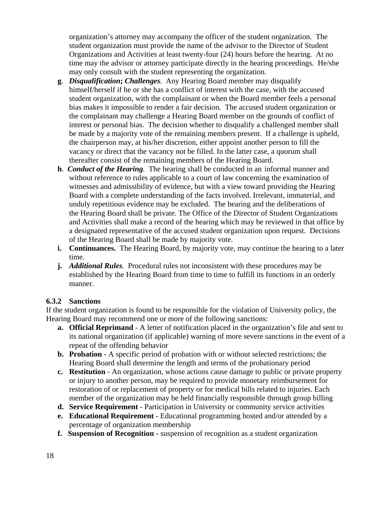organization's attorney may accompany the officer of the student organization. The student organization must provide the name of the advisor to the Director of Student Organizations and Activities at least twenty-four (24) hours before the hearing. At no time may the advisor or attorney participate directly in the hearing proceedings. He/she may only consult with the student representing the organization*.* 

- **g***. Disqualification***;** *Challenges.* Any Hearing Board member may disqualify himself/herself if he or she has a conflict of interest with the case, with the accused student organization, with the complainant or when the Board member feels a personal bias makes it impossible to render a fair decision. The accused student organization or the complainant may challenge a Hearing Board member on the grounds of conflict of interest or personal bias. The decision whether to disqualify a challenged member shall be made by a majority vote of the remaining members present. If a challenge is upheld, the chairperson may, at his/her discretion, either appoint another person to fill the vacancy or direct that the vacancy not be filled. In the latter case, a quorum shall thereafter consist of the remaining members of the Hearing Board.
- **h**.*Conduct of the Hearing.* The hearing shall be conducted in an informal manner and without reference to rules applicable to a court of law concerning the examination of witnesses and admissibility of evidence, but with a view toward providing the Hearing Board with a complete understanding of the facts involved. Irrelevant, immaterial, and unduly repetitious evidence may be excluded. The hearing and the deliberations of the Hearing Board shall be private. The Office of the Director of Student Organizations and Activities shall make a record of the hearing which may be reviewed in that office by a designated representative of the accused student organization upon request. Decisions of the Hearing Board shall be made by majority vote.
- **i. Continuances.** The Hearing Board, by majority vote, may continue the hearing to a later time.
- **j.** *Additional Rules.* Procedural rules not inconsistent with these procedures may be established by the Hearing Board from time to time to fulfill its functions in an orderly manner.

#### **6.3.2 Sanctions**

If the student organization is found to be responsible for the violation of University policy, the Hearing Board may recommend one or more of the following sanctions:

- **a. Official Reprimand** A letter of notification placed in the organization's file and sent to its national organization (if applicable) warning of more severe sanctions in the event of a repeat of the offending behavior
- **b. Probation** A specific period of probation with or without selected restrictions; the Hearing Board shall determine the length and terms of the probationary period
- **c. Restitution** An organization, whose actions cause damage to public or private property or injury to another person, may be required to provide monetary reimbursement for restoration of or replacement of property or for medical bills related to injuries. Each member of the organization may be held financially responsible through group billing
- **d. Service Requirement** Participation in University or community service activities
- **e. Educational Requirement** Educational programming hosted and/or attended by a percentage of organization membership
- **f. Suspension of Recognition** suspension of recognition as a student organization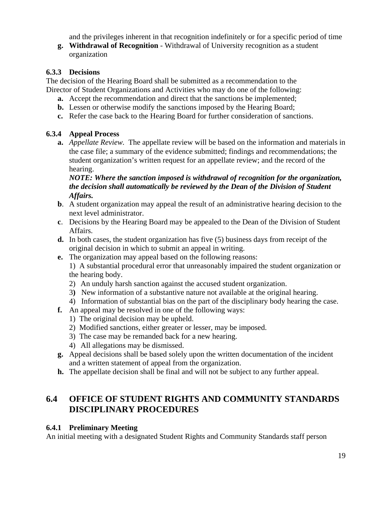and the privileges inherent in that recognition indefinitely or for a specific period of time

 **g. Withdrawal of Recognition** - Withdrawal of University recognition as a student organization

#### **6.3.3 Decisions**

The decision of the Hearing Board shall be submitted as a recommendation to the Director of Student Organizations and Activities who may do one of the following:

- **a.** Accept the recommendation and direct that the sanctions be implemented;
- **b.** Lessen or otherwise modify the sanctions imposed by the Hearing Board;
- **c.** Refer the case back to the Hearing Board for further consideration of sanctions.

## **6.3.4 Appeal Process**

 **a.** *Appellate Review.* The appellate review will be based on the information and materials in the case file; a summary of the evidence submitted; findings and recommendations; the student organization's written request for an appellate review; and the record of the hearing.

#### *NOTE: Where the sanction imposed is withdrawal of recognition for the organization, the decision shall automatically be reviewed by the Dean of the Division of Student Affairs.*

- **b**. A student organization may appeal the result of an administrative hearing decision to the next level administrator.
- **c**. Decisions by the Hearing Board may be appealed to the Dean of the Division of Student Affairs.
- **d.** In both cases, the student organization has five (5) business days from receipt of the original decision in which to submit an appeal in writing.
- **e.** The organization may appeal based on the following reasons:

1)A substantial procedural error that unreasonably impaired the student organization or the hearing body.

- 2) An unduly harsh sanction against the accused student organization.
- 3**)** New information of a substantive nature not available at the original hearing.
- 4) Information of substantial bias on the part of the disciplinary body hearing the case.
- **f.** An appeal may be resolved in one of the following ways:
	- 1)The original decision may be upheld.
	- 2) Modified sanctions, either greater or lesser, may be imposed.
	- 3) The case may be remanded back for a new hearing.
	- 4) All allegations may be dismissed.
- **g.** Appeal decisions shall be based solely upon the written documentation of the incident and a written statement of appeal from the organization.
- **h.** The appellate decision shall be final and will not be subject to any further appeal.

## **6.4 OFFICE OF STUDENT RIGHTS AND COMMUNITY STANDARDS DISCIPLINARY PROCEDURES**

## **6.4.1 Preliminary Meeting**

An initial meeting with a designated Student Rights and Community Standards staff person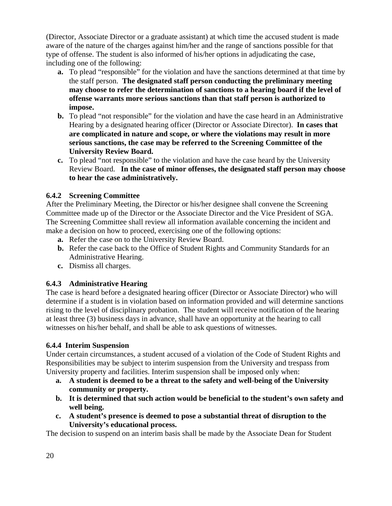(Director, Associate Director or a graduate assistant) at which time the accused student is made aware of the nature of the charges against him/her and the range of sanctions possible for that type of offense. The student is also informed of his/her options in adjudicating the case, including one of the following:

- **a.** To plead "responsible" for the violation and have the sanctions determined at that time by the staff person. **The designated staff person conducting the preliminary meeting may choose to refer the determination of sanctions to a hearing board if the level of offense warrants more serious sanctions than that staff person is authorized to impose.**
- **b.** To plead "not responsible" for the violation and have the case heard in an Administrative Hearing by a designated hearing officer (Director or Associate Director). **In cases that are complicated in nature and scope, or where the violations may result in more serious sanctions, the case may be referred to the Screening Committee of the University Review Board.**
- **c.** To plead "not responsible" to the violation and have the case heard by the University Review Board. **In the case of minor offenses, the designated staff person may choose to hear the case administratively.**

#### **6.4.2 Screening Committee**

After the Preliminary Meeting, the Director or his/her designee shall convene the Screening Committee made up of the Director or the Associate Director and the Vice President of SGA. The Screening Committee shall review all information available concerning the incident and make a decision on how to proceed, exercising one of the following options:

- **a.** Refer the case on to the University Review Board.
- **b.** Refer the case back to the Office of Student Rights and Community Standards for an Administrative Hearing.
- **c.** Dismiss all charges.

#### **6.4.3 Administrative Hearing**

The case is heard before a designated hearing officer (Director or Associate Director) who will determine if a student is in violation based on information provided and will determine sanctions rising to the level of disciplinary probation. The student will receive notification of the hearing at least three (3) business days in advance, shall have an opportunity at the hearing to call witnesses on his/her behalf, and shall be able to ask questions of witnesses.

#### **6.4.4 Interim Suspension**

Under certain circumstances, a student accused of a violation of the Code of Student Rights and Responsibilities may be subject to interim suspension from the University and trespass from University property and facilities. Interim suspension shall be imposed only when:

- **a. A student is deemed to be a threat to the safety and well-being of the University community or property.**
- **b. It is determined that such action would be beneficial to the student's own safety and well being.**
- **c. A student's presence is deemed to pose a substantial threat of disruption to the University's educational process.**

The decision to suspend on an interim basis shall be made by the Associate Dean for Student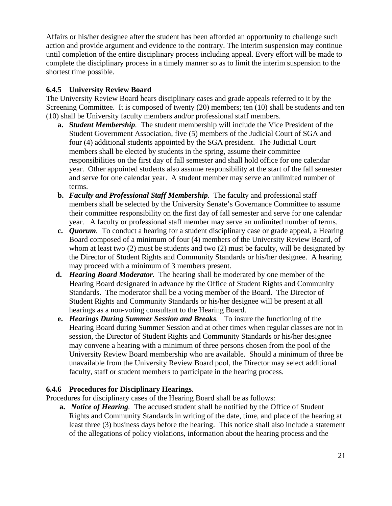Affairs or his/her designee after the student has been afforded an opportunity to challenge such action and provide argument and evidence to the contrary. The interim suspension may continue until completion of the entire disciplinary process including appeal. Every effort will be made to complete the disciplinary process in a timely manner so as to limit the interim suspension to the shortest time possible.

#### **6.4.5 University Review Board**

The University Review Board hears disciplinary cases and grade appeals referred to it by the Screening Committee. It is composed of twenty (20) members; ten (10) shall be students and ten (10) shall be University faculty members and/or professional staff members.

- **a. S***tudent Membership.* The student membership will include the Vice President of the Student Government Association, five (5) members of the Judicial Court of SGA and four (4) additional students appointed by the SGA president. The Judicial Court members shall be elected by students in the spring, assume their committee responsibilities on the first day of fall semester and shall hold office for one calendar year. Other appointed students also assume responsibility at the start of the fall semester and serve for one calendar year. A student member may serve an unlimited number of terms.
- **b.** *Faculty and Professional Staff Membership.* The faculty and professional staff members shall be selected by the University Senate's Governance Committee to assume their committee responsibility on the first day of fall semester and serve for one calendar year. A faculty or professional staff member may serve an unlimited number of terms.
- **c.** *Quorum.* To conduct a hearing for a student disciplinary case or grade appeal, a Hearing Board composed of a minimum of four (4) members of the University Review Board, of whom at least two (2) must be students and two (2) must be faculty, will be designated by the Director of Student Rights and Community Standards or his/her designee. A hearing may proceed with a minimum of 3 members present.
- **d.** *Hearing Board Moderator.* The hearing shall be moderated by one member of the Hearing Board designated in advance by the Office of Student Rights and Community Standards. The moderator shall be a voting member of the Board. The Director of Student Rights and Community Standards or his/her designee will be present at all hearings as a non-voting consultant to the Hearing Board.
- **e.** *Hearings During Summer Session and Breaks.* To insure the functioning of the Hearing Board during Summer Session and at other times when regular classes are not in session, the Director of Student Rights and Community Standards or his/her designee may convene a hearing with a minimum of three persons chosen from the pool of the University Review Board membership who are available. Should a minimum of three be unavailable from the University Review Board pool, the Director may select additional faculty, staff or student members to participate in the hearing process.

#### **6.4.6 Procedures for Disciplinary Hearings***.*

Procedures for disciplinary cases of the Hearing Board shall be as follows:

 **a.** *Notice of Hearing.* The accused student shall be notified by the Office of Student Rights and Community Standards in writing of the date, time, and place of the hearing at least three (3) business days before the hearing. This notice shall also include a statement of the allegations of policy violations, information about the hearing process and the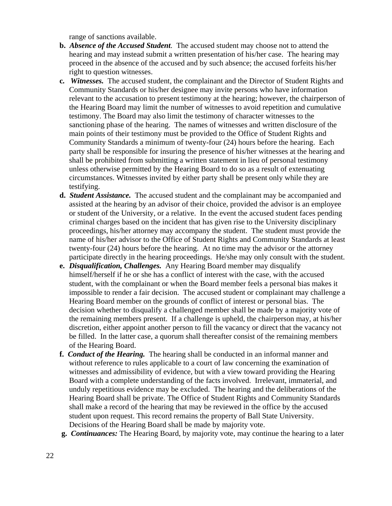range of sanctions available.

- **b.** *Absence of the Accused Student.* The accused student may choose not to attend the hearing and may instead submit a written presentation of his/her case. The hearing may proceed in the absence of the accused and by such absence; the accused forfeits his/her right to question witnesses.
- **c***. Witnesses.* The accused student, the complainant and the Director of Student Rights and Community Standards or his/her designee may invite persons who have information relevant to the accusation to present testimony at the hearing; however, the chairperson of the Hearing Board may limit the number of witnesses to avoid repetition and cumulative testimony. The Board may also limit the testimony of character witnesses to the sanctioning phase of the hearing. The names of witnesses and written disclosure of the main points of their testimony must be provided to the Office of Student Rights and Community Standards a minimum of twenty-four (24) hours before the hearing. Each party shall be responsible for insuring the presence of his/her witnesses at the hearing and shall be prohibited from submitting a written statement in lieu of personal testimony unless otherwise permitted by the Hearing Board to do so as a result of extenuating circumstances. Witnesses invited by either party shall be present only while they are testifying.
- **d.** *Student Assistance.* The accused student and the complainant may be accompanied and assisted at the hearing by an advisor of their choice, provided the advisor is an employee or student of the University, or a relative. In the event the accused student faces pending criminal charges based on the incident that has given rise to the University disciplinary proceedings, his/her attorney may accompany the student. The student must provide the name of his/her advisor to the Office of Student Rights and Community Standards at least twenty-four (24) hours before the hearing. At no time may the advisor or the attorney participate directly in the hearing proceedings. He/she may only consult with the student.
- **e.** *Disqualification, Challenges.* Any Hearing Board member may disqualify himself/herself if he or she has a conflict of interest with the case, with the accused student, with the complainant or when the Board member feels a personal bias makes it impossible to render a fair decision. The accused student or complainant may challenge a Hearing Board member on the grounds of conflict of interest or personal bias. The decision whether to disqualify a challenged member shall be made by a majority vote of the remaining members present. If a challenge is upheld, the chairperson may, at his/her discretion, either appoint another person to fill the vacancy or direct that the vacancy not be filled. In the latter case, a quorum shall thereafter consist of the remaining members of the Hearing Board.
- **f.** *Conduct of the Hearing.* The hearing shall be conducted in an informal manner and without reference to rules applicable to a court of law concerning the examination of witnesses and admissibility of evidence, but with a view toward providing the Hearing Board with a complete understanding of the facts involved. Irrelevant, immaterial, and unduly repetitious evidence may be excluded. The hearing and the deliberations of the Hearing Board shall be private. The Office of Student Rights and Community Standards shall make a record of the hearing that may be reviewed in the office by the accused student upon request. This record remains the property of Ball State University. Decisions of the Hearing Board shall be made by majority vote.
- **g.** *Continuances:* The Hearing Board, by majority vote, may continue the hearing to a later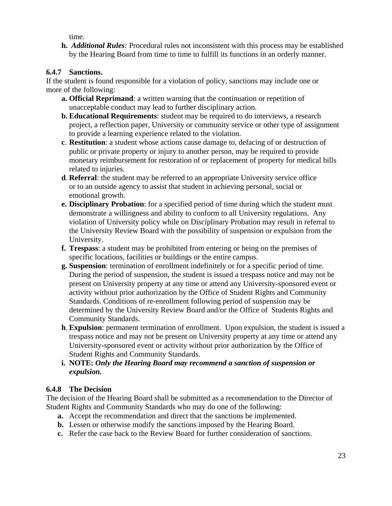time.

 **h.** *Additional Rules:* Procedural rules not inconsistent with this process may be established by the Hearing Board from time to time to fulfill its functions in an orderly manner.

#### **6.4.7 Sanctions.**

If the student is found responsible for a violation of policy, sanctions may include one or more of the following:

- **a. Official Reprimand**: a written warning that the continuation or repetition of unacceptable conduct may lead to further disciplinary action.
- **b. Educational Requirements**: student may be required to do interviews, a research project, a reflection paper, University or community service or other type of assignment to provide a learning experience related to the violation.
- **c**. **Restitution**: a student whose actions cause damage to, defacing of or destruction of public or private property or injury to another person, may be required to provide monetary reimbursement for restoration of or replacement of property for medical bills related to injuries.
- **d**. **Referral**: the student may be referred to an appropriate University service office or to an outside agency to assist that student in achieving personal, social or emotional growth.
- **e. Disciplinary Probation**: for a specified period of time during which the student must demonstrate a willingness and ability to conform to all University regulations. Any violation of University policy while on Disciplinary Probation may result in referral to the University Review Board with the possibility of suspension or expulsion from the University.
- **f. Trespass**: a student may be prohibited from entering or being on the premises of specific locations, facilities or buildings or the entire campus.
- **g. Suspension**: termination of enrollment indefinitely or for a specific period of time. During the period of suspension, the student is issued a trespass notice and may not be present on University property at any time or attend any University-sponsored event or activity without prior authorization by the Office of Student Rights and Community Standards. Conditions of re-enrollment following period of suspension may be determined by the University Review Board and/or the Office of Students Rights and Community Standards.
- **h**. **Expulsion**: permanent termination of enrollment. Upon expulsion, the student is issued a trespass notice and may not be present on University property at any time or attend any University-sponsored event or activity without prior authorization by the Office of Student Rights and Community Standards.
- **i. NOTE:** *Only the Hearing Board may recommend a sanction of suspension or expulsion.*

#### **6.4.8 The Decision**

The decision of the Hearing Board shall be submitted as a recommendation to the Director of Student Rights and Community Standards who may do one of the following:

- **a.** Accept the recommendation and direct that the sanctions be implemented.
- **b.** Lessen or otherwise modify the sanctions imposed by the Hearing Board.
- **c.** Refer the case back to the Review Board for further consideration of sanctions.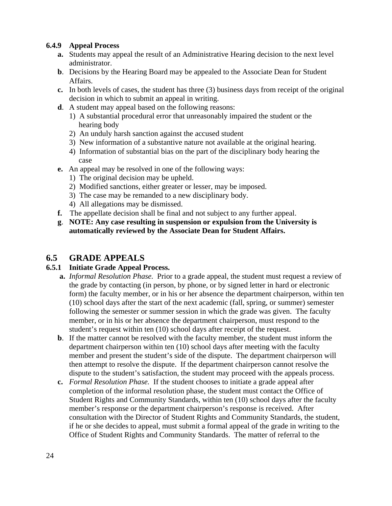#### **6.4.9 Appeal Process**

- **a.** Students may appeal the result of an Administrative Hearing decision to the next level administrator.
- **b**. Decisions by the Hearing Board may be appealed to the Associate Dean for Student Affairs.
- **c.** In both levels of cases, the student has three (3) business days from receipt of the original decision in which to submit an appeal in writing.
- **d**. A student may appeal based on the following reasons:
	- 1) A substantial procedural error that unreasonably impaired the student or the hearing body
	- 2)An unduly harsh sanction against the accused student
	- 3)New information of a substantive nature not available at the original hearing.
	- 4)Information of substantial bias on the part of the disciplinary body hearing the case
- **e.** An appeal may be resolved in one of the following ways:
	- 1) The original decision may be upheld.
	- 2)Modified sanctions, either greater or lesser, may be imposed.
	- 3) The case may be remanded to a new disciplinary body.
	- 4) All allegations may be dismissed.
- **f.** The appellate decision shall be final and not subject to any further appeal.
- **g**. **NOTE: Any case resulting in suspension or expulsion from the University is automatically reviewed by the Associate Dean for Student Affairs.**

## **6.5 GRADE APPEALS**

#### **6.5.1 Initiate Grade Appeal Process.**

- **a.** *Informal Resolution Phase.* Prior to a grade appeal, the student must request a review of the grade by contacting (in person, by phone, or by signed letter in hard or electronic form) the faculty member, or in his or her absence the department chairperson, within ten (10) school days after the start of the next academic (fall, spring, or summer) semester following the semester or summer session in which the grade was given. The faculty member, or in his or her absence the department chairperson, must respond to the student's request within ten (10) school days after receipt of the request.
- **b**. If the matter cannot be resolved with the faculty member, the student must inform the department chairperson within ten (10) school days after meeting with the faculty member and present the student's side of the dispute. The department chairperson will then attempt to resolve the dispute. If the department chairperson cannot resolve the dispute to the student's satisfaction, the student may proceed with the appeals process.
- **c.** *Formal Resolution Phase.* If the student chooses to initiate a grade appeal after completion of the informal resolution phase, the student must contact the Office of Student Rights and Community Standards, within ten (10) school days after the faculty member's response or the department chairperson's response is received. After consultation with the Director of Student Rights and Community Standards, the student, if he or she decides to appeal, must submit a formal appeal of the grade in writing to the Office of Student Rights and Community Standards. The matter of referral to the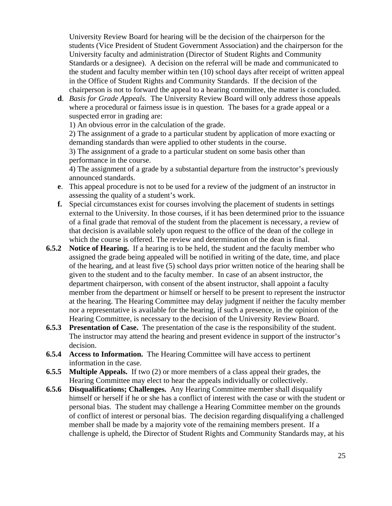University Review Board for hearing will be the decision of the chairperson for the students (Vice President of Student Government Association) and the chairperson for the University faculty and administration (Director of Student Rights and Community Standards or a designee). A decision on the referral will be made and communicated to the student and faculty member within ten (10) school days after receipt of written appeal in the Office of Student Rights and Community Standards. If the decision of the chairperson is not to forward the appeal to a hearing committee, the matter is concluded.

 **d**. *Basis for Grade Appeals.* The University Review Board will only address those appeals where a procedural or fairness issue is in question. The bases for a grade appeal or a suspected error in grading are:

1) An obvious error in the calculation of the grade.

2) The assignment of a grade to a particular student by application of more exacting or demanding standards than were applied to other students in the course.

3) The assignment of a grade to a particular student on some basis other than performance in the course.

4) The assignment of a grade by a substantial departure from the instructor's previously announced standards.

- **e**. This appeal procedure is not to be used for a review of the judgment of an instructor in assessing the quality of a student's work.
- **f.** Special circumstances exist for courses involving the placement of students in settings external to the University. In those courses, if it has been determined prior to the issuance of a final grade that removal of the student from the placement is necessary, a review of that decision is available solely upon request to the office of the dean of the college in which the course is offered. The review and determination of the dean is final.
- **6.5.2 Notice of Hearing.** If a hearing is to be held, the student and the faculty member who assigned the grade being appealed will be notified in writing of the date, time, and place of the hearing, and at least five (5) school days prior written notice of the hearing shall be given to the student and to the faculty member. In case of an absent instructor, the department chairperson, with consent of the absent instructor, shall appoint a faculty member from the department or himself or herself to be present to represent the instructor at the hearing. The Hearing Committee may delay judgment if neither the faculty member nor a representative is available for the hearing, if such a presence, in the opinion of the Hearing Committee, is necessary to the decision of the University Review Board.
- **6.5.3 Presentation of Case.** The presentation of the case is the responsibility of the student. The instructor may attend the hearing and present evidence in support of the instructor's decision.
- **6.5.4 Access to Information.** The Hearing Committee will have access to pertinent information in the case.
- **6.5.5 Multiple Appeals.** If two (2) or more members of a class appeal their grades, the Hearing Committee may elect to hear the appeals individually or collectively.
- **6.5.6 Disqualifications; Challenges.** Any Hearing Committee member shall disqualify himself or herself if he or she has a conflict of interest with the case or with the student or personal bias. The student may challenge a Hearing Committee member on the grounds of conflict of interest or personal bias. The decision regarding disqualifying a challenged member shall be made by a majority vote of the remaining members present. If a challenge is upheld, the Director of Student Rights and Community Standards may, at his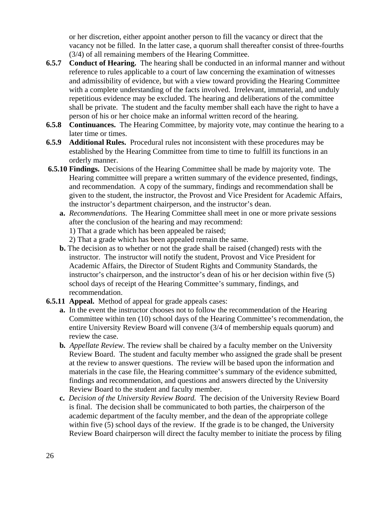or her discretion, either appoint another person to fill the vacancy or direct that the vacancy not be filled. In the latter case, a quorum shall thereafter consist of three-fourths (3/4) of all remaining members of the Hearing Committee.

- **6.5.7 Conduct of Hearing.** The hearing shall be conducted in an informal manner and without reference to rules applicable to a court of law concerning the examination of witnesses and admissibility of evidence, but with a view toward providing the Hearing Committee with a complete understanding of the facts involved. Irrelevant, immaterial, and unduly repetitious evidence may be excluded. The hearing and deliberations of the committee shall be private. The student and the faculty member shall each have the right to have a person of his or her choice make an informal written record of the hearing.
- **6.5.8 Continuances.** The Hearing Committee, by majority vote, may continue the hearing to a later time or times.
- **6.5.9 Additional Rules.** Procedural rules not inconsistent with these procedures may be established by the Hearing Committee from time to time to fulfill its functions in an orderly manner.
- **6.5.10 Findings.** Decisions of the Hearing Committee shall be made by majority vote. The Hearing committee will prepare a written summary of the evidence presented, findings, and recommendation. A copy of the summary, findings and recommendation shall be given to the student, the instructor, the Provost and Vice President for Academic Affairs, the instructor's department chairperson, and the instructor's dean.
	- **a.** *Recommendations.* The Hearing Committee shall meet in one or more private sessions after the conclusion of the hearing and may recommend:
		- 1) That a grade which has been appealed be raised;
		- 2) That a grade which has been appealed remain the same.
	- **b.** The decision as to whether or not the grade shall be raised (changed) rests with the instructor. The instructor will notify the student, Provost and Vice President for Academic Affairs, the Director of Student Rights and Community Standards, the instructor's chairperson, and the instructor's dean of his or her decision within five (5) school days of receipt of the Hearing Committee's summary, findings, and recommendation.
- **6.5.11 Appeal.** Method of appeal for grade appeals cases:
	- **a.** In the event the instructor chooses not to follow the recommendation of the Hearing Committee within ten (10) school days of the Hearing Committee's recommendation, the entire University Review Board will convene (3/4 of membership equals quorum) and review the case.
	- **b***. Appellate Review.* The review shall be chaired by a faculty member on the University Review Board. The student and faculty member who assigned the grade shall be present at the review to answer questions. The review will be based upon the information and materials in the case file, the Hearing committee's summary of the evidence submitted, findings and recommendation, and questions and answers directed by the University Review Board to the student and faculty member.
	- **c.** *Decision of the University Review Board.* The decision of the University Review Board is final. The decision shall be communicated to both parties, the chairperson of the academic department of the faculty member, and the dean of the appropriate college within five (5) school days of the review. If the grade is to be changed, the University Review Board chairperson will direct the faculty member to initiate the process by filing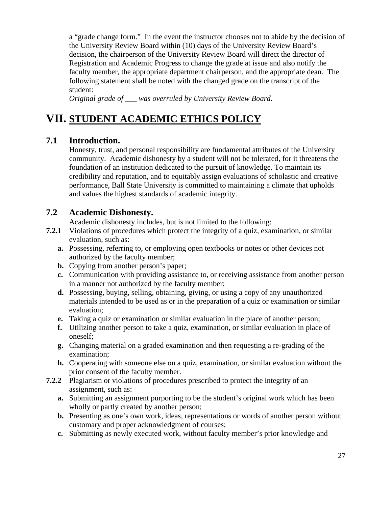a "grade change form." In the event the instructor chooses not to abide by the decision of the University Review Board within (10) days of the University Review Board's decision, the chairperson of the University Review Board will direct the director of Registration and Academic Progress to change the grade at issue and also notify the faculty member, the appropriate department chairperson, and the appropriate dean. The following statement shall be noted with the changed grade on the transcript of the student:

*Original grade of \_\_\_ was overruled by University Review Board.* 

# **VII. STUDENT ACADEMIC ETHICS POLICY**

## **7.1 Introduction.**

 Honesty, trust, and personal responsibility are fundamental attributes of the University community. Academic dishonesty by a student will not be tolerated, for it threatens the foundation of an institution dedicated to the pursuit of knowledge. To maintain its credibility and reputation, and to equitably assign evaluations of scholastic and creative performance, Ball State University is committed to maintaining a climate that upholds and values the highest standards of academic integrity.

### **7.2 Academic Dishonesty.**

Academic dishonesty includes, but is not limited to the following:

- **7.2.1** Violations of procedures which protect the integrity of a quiz, examination, or similar evaluation, such as:
	- **a.** Possessing, referring to, or employing open textbooks or notes or other devices not authorized by the faculty member;
	- **b.** Copying from another person's paper;
	- **c.** Communication with providing assistance to, or receiving assistance from another person in a manner not authorized by the faculty member;
	- **d.** Possessing, buying, selling, obtaining, giving, or using a copy of any unauthorized materials intended to be used as or in the preparation of a quiz or examination or similar evaluation;
	- **e.** Taking a quiz or examination or similar evaluation in the place of another person;
	- **f.** Utilizing another person to take a quiz, examination, or similar evaluation in place of oneself;
	- **g.** Changing material on a graded examination and then requesting a re-grading of the examination;
	- **h.** Cooperating with someone else on a quiz, examination, or similar evaluation without the prior consent of the faculty member.
- **7.2.2** Plagiarism or violations of procedures prescribed to protect the integrity of an assignment, such as:
	- **a.** Submitting an assignment purporting to be the student's original work which has been wholly or partly created by another person;
	- **b.** Presenting as one's own work, ideas, representations or words of another person without customary and proper acknowledgment of courses;
	- **c.** Submitting as newly executed work, without faculty member's prior knowledge and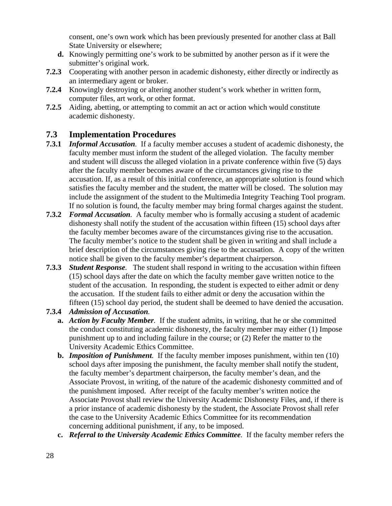consent, one's own work which has been previously presented for another class at Ball State University or elsewhere;

- **d.** Knowingly permitting one's work to be submitted by another person as if it were the submitter's original work.
- **7.2.3** Cooperating with another person in academic dishonesty, either directly or indirectly as an intermediary agent or broker.
- **7.2.4** Knowingly destroying or altering another student's work whether in written form, computer files, art work, or other format.
- **7.2.5** Aiding, abetting, or attempting to commit an act or action which would constitute academic dishonesty.

## **7.3 Implementation Procedures**

- **7.3.1** *Informal Accusation.* If a faculty member accuses a student of academic dishonesty, the faculty member must inform the student of the alleged violation. The faculty member and student will discuss the alleged violation in a private conference within five (5) days after the faculty member becomes aware of the circumstances giving rise to the accusation. If, as a result of this initial conference, an appropriate solution is found which satisfies the faculty member and the student, the matter will be closed. The solution may include the assignment of the student to the Multimedia Integrity Teaching Tool program. If no solution is found, the faculty member may bring formal charges against the student.
- **7.3.2** *Formal Accusation.* A faculty member who is formally accusing a student of academic dishonesty shall notify the student of the accusation within fifteen (15) school days after the faculty member becomes aware of the circumstances giving rise to the accusation. The faculty member's notice to the student shall be given in writing and shall include a brief description of the circumstances giving rise to the accusation. A copy of the written notice shall be given to the faculty member's department chairperson.
- **7.3.3** *Student Response.* The student shall respond in writing to the accusation within fifteen (15) school days after the date on which the faculty member gave written notice to the student of the accusation. In responding, the student is expected to either admit or deny the accusation. If the student fails to either admit or deny the accusation within the fifteen (15) school day period, the student shall be deemed to have denied the accusation.

#### **7.3.4** *Admission of Accusation.*

- **a.** *Action by Faculty Member.* If the student admits, in writing, that he or she committed the conduct constituting academic dishonesty, the faculty member may either (1) Impose punishment up to and including failure in the course; or (2) Refer the matter to the University Academic Ethics Committee.
- **b.** *Imposition of Punishment.* If the faculty member imposes punishment, within ten (10) school days after imposing the punishment, the faculty member shall notify the student, the faculty member's department chairperson, the faculty member's dean, and the Associate Provost, in writing, of the nature of the academic dishonesty committed and of the punishment imposed. After receipt of the faculty member's written notice the Associate Provost shall review the University Academic Dishonesty Files, and, if there is a prior instance of academic dishonesty by the student, the Associate Provost shall refer the case to the University Academic Ethics Committee for its recommendation concerning additional punishment, if any, to be imposed.
- **c.** *Referral to the University Academic Ethics Committee.* If the faculty member refers the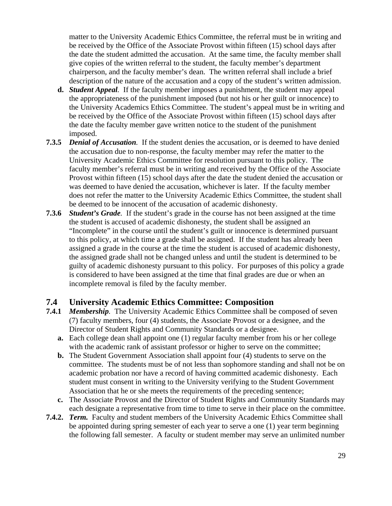matter to the University Academic Ethics Committee, the referral must be in writing and be received by the Office of the Associate Provost within fifteen (15) school days after the date the student admitted the accusation. At the same time, the faculty member shall give copies of the written referral to the student, the faculty member's department chairperson, and the faculty member's dean. The written referral shall include a brief description of the nature of the accusation and a copy of the student's written admission.

- **d.** *Student Appeal.* If the faculty member imposes a punishment, the student may appeal the appropriateness of the punishment imposed (but not his or her guilt or innocence) to the University Academics Ethics Committee. The student's appeal must be in writing and be received by the Office of the Associate Provost within fifteen (15) school days after the date the faculty member gave written notice to the student of the punishment imposed.
- **7.3.5** *Denial of Accusation.* If the student denies the accusation, or is deemed to have denied the accusation due to non-response, the faculty member may refer the matter to the University Academic Ethics Committee for resolution pursuant to this policy. The faculty member's referral must be in writing and received by the Office of the Associate Provost within fifteen (15) school days after the date the student denied the accusation or was deemed to have denied the accusation, whichever is later. If the faculty member does not refer the matter to the University Academic Ethics Committee, the student shall be deemed to be innocent of the accusation of academic dishonesty.
- **7.3.6** *Student's Grade.* If the student's grade in the course has not been assigned at the time the student is accused of academic dishonesty, the student shall be assigned an "Incomplete" in the course until the student's guilt or innocence is determined pursuant to this policy, at which time a grade shall be assigned. If the student has already been assigned a grade in the course at the time the student is accused of academic dishonesty, the assigned grade shall not be changed unless and until the student is determined to be guilty of academic dishonesty pursuant to this policy. For purposes of this policy a grade is considered to have been assigned at the time that final grades are due or when an incomplete removal is filed by the faculty member.

#### **7.4 University Academic Ethics Committee: Composition**

- **7.4.1** *Membership.* The University Academic Ethics Committee shall be composed of seven (7) faculty members, four (4) students, the Associate Provost or a designee, and the Director of Student Rights and Community Standards or a designee.
	- **a.** Each college dean shall appoint one (1) regular faculty member from his or her college with the academic rank of assistant professor or higher to serve on the committee;
	- **b.** The Student Government Association shall appoint four (4) students to serve on the committee. The students must be of not less than sophomore standing and shall not be on academic probation nor have a record of having committed academic dishonesty. Each student must consent in writing to the University verifying to the Student Government Association that he or she meets the requirements of the preceding sentence;
	- **c.** The Associate Provost and the Director of Student Rights and Community Standards may each designate a representative from time to time to serve in their place on the committee.
- **7.4.2.** *Term.* Faculty and student members of the University Academic Ethics Committee shall be appointed during spring semester of each year to serve a one (1) year term beginning the following fall semester. A faculty or student member may serve an unlimited number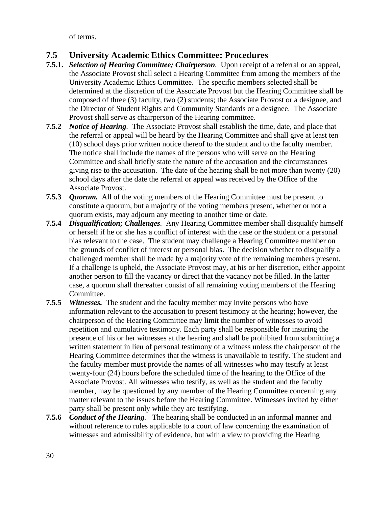of terms.

## **7.5 University Academic Ethics Committee: Procedures**

- **7.5.1.** *Selection of Hearing Committee; Chairperson.* Upon receipt of a referral or an appeal, the Associate Provost shall select a Hearing Committee from among the members of the University Academic Ethics Committee. The specific members selected shall be determined at the discretion of the Associate Provost but the Hearing Committee shall be composed of three (3) faculty, two (2) students; the Associate Provost or a designee, and the Director of Student Rights and Community Standards or a designee. The Associate Provost shall serve as chairperson of the Hearing committee.
- **7.5.2** *Notice of Hearing.* The Associate Provost shall establish the time, date, and place that the referral or appeal will be heard by the Hearing Committee and shall give at least ten (10) school days prior written notice thereof to the student and to the faculty member. The notice shall include the names of the persons who will serve on the Hearing Committee and shall briefly state the nature of the accusation and the circumstances giving rise to the accusation. The date of the hearing shall be not more than twenty (20) school days after the date the referral or appeal was received by the Office of the Associate Provost.
- **7.5.3** *Quorum.* All of the voting members of the Hearing Committee must be present to constitute a quorum, but a majority of the voting members present, whether or not a quorum exists, may adjourn any meeting to another time or date.
- **7.5.4** *Disqualification; Challenges.* Any Hearing Committee member shall disqualify himself or herself if he or she has a conflict of interest with the case or the student or a personal bias relevant to the case. The student may challenge a Hearing Committee member on the grounds of conflict of interest or personal bias. The decision whether to disqualify a challenged member shall be made by a majority vote of the remaining members present. If a challenge is upheld, the Associate Provost may, at his or her discretion, either appoint another person to fill the vacancy or direct that the vacancy not be filled. In the latter case, a quorum shall thereafter consist of all remaining voting members of the Hearing Committee.
- **7.5.5** *Witnesses.* The student and the faculty member may invite persons who have information relevant to the accusation to present testimony at the hearing; however, the chairperson of the Hearing Committee may limit the number of witnesses to avoid repetition and cumulative testimony. Each party shall be responsible for insuring the presence of his or her witnesses at the hearing and shall be prohibited from submitting a written statement in lieu of personal testimony of a witness unless the chairperson of the Hearing Committee determines that the witness is unavailable to testify. The student and the faculty member must provide the names of all witnesses who may testify at least twenty-four (24) hours before the scheduled time of the hearing to the Office of the Associate Provost. All witnesses who testify, as well as the student and the faculty member, may be questioned by any member of the Hearing Committee concerning any matter relevant to the issues before the Hearing Committee. Witnesses invited by either party shall be present only while they are testifying.
- **7.5.6** *Conduct of the Hearing.* The hearing shall be conducted in an informal manner and without reference to rules applicable to a court of law concerning the examination of witnesses and admissibility of evidence, but with a view to providing the Hearing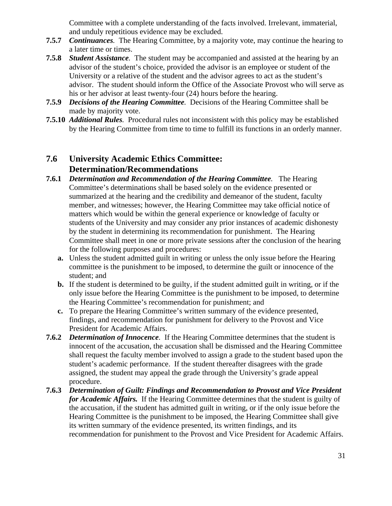Committee with a complete understanding of the facts involved. Irrelevant, immaterial, and unduly repetitious evidence may be excluded.

- **7.5.7** *Continuances.* The Hearing Committee, by a majority vote, may continue the hearing to a later time or times.
- **7.5.8** *Student Assistance.* The student may be accompanied and assisted at the hearing by an advisor of the student's choice, provided the advisor is an employee or student of the University or a relative of the student and the advisor agrees to act as the student's advisor. The student should inform the Office of the Associate Provost who will serve as his or her advisor at least twenty-four (24) hours before the hearing.
- **7.5.9** *Decisions of the Hearing Committee.* Decisions of the Hearing Committee shall be made by majority vote.
- **7.5.10** *Additional Rules.* Procedural rules not inconsistent with this policy may be established by the Hearing Committee from time to time to fulfill its functions in an orderly manner.

## **7.6 University Academic Ethics Committee: Determination/Recommendations**

- **7.6.1** *Determination and Recommendation of the Hearing Committee.* The Hearing Committee's determinations shall be based solely on the evidence presented or summarized at the hearing and the credibility and demeanor of the student, faculty member, and witnesses; however, the Hearing Committee may take official notice of matters which would be within the general experience or knowledge of faculty or students of the University and may consider any prior instances of academic dishonesty by the student in determining its recommendation for punishment. The Hearing Committee shall meet in one or more private sessions after the conclusion of the hearing for the following purposes and procedures:
	- **a.** Unless the student admitted guilt in writing or unless the only issue before the Hearing committee is the punishment to be imposed, to determine the guilt or innocence of the student; and
	- **b.** If the student is determined to be guilty, if the student admitted guilt in writing, or if the only issue before the Hearing Committee is the punishment to be imposed, to determine the Hearing Committee's recommendation for punishment; and
	- **c.** To prepare the Hearing Committee's written summary of the evidence presented, findings, and recommendation for punishment for delivery to the Provost and Vice President for Academic Affairs.
- **7.6.2** *Determination of Innocence.* If the Hearing Committee determines that the student is innocent of the accusation, the accusation shall be dismissed and the Hearing Committee shall request the faculty member involved to assign a grade to the student based upon the student's academic performance. If the student thereafter disagrees with the grade assigned, the student may appeal the grade through the University's grade appeal procedure.
- **7.6.3** *Determination of Guilt: Findings and Recommendation to Provost and Vice President for Academic Affairs.*If the Hearing Committee determines that the student is guilty of the accusation, if the student has admitted guilt in writing, or if the only issue before the Hearing Committee is the punishment to be imposed, the Hearing Committee shall give its written summary of the evidence presented, its written findings, and its recommendation for punishment to the Provost and Vice President for Academic Affairs.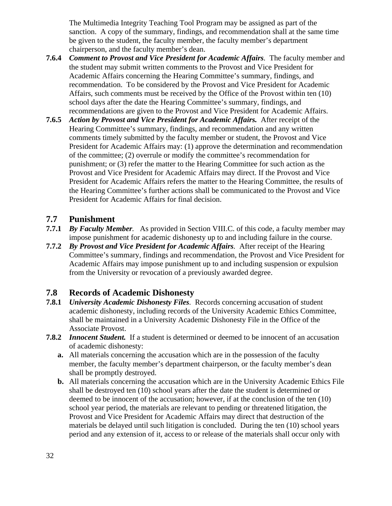The Multimedia Integrity Teaching Tool Program may be assigned as part of the sanction. A copy of the summary, findings, and recommendation shall at the same time be given to the student, the faculty member, the faculty member's department chairperson, and the faculty member's dean.

- **7.6.4** *Comment to Provost and Vice President for Academic Affairs.* The faculty member and the student may submit written comments to the Provost and Vice President for Academic Affairs concerning the Hearing Committee's summary, findings, and recommendation. To be considered by the Provost and Vice President for Academic Affairs, such comments must be received by the Office of the Provost within ten (10) school days after the date the Hearing Committee's summary, findings, and recommendations are given to the Provost and Vice President for Academic Affairs.
- **7.6.5** *Action by Provost and Vice President for Academic Affairs.* After receipt of the Hearing Committee's summary, findings, and recommendation and any written comments timely submitted by the faculty member or student, the Provost and Vice President for Academic Affairs may: (1) approve the determination and recommendation of the committee; (2) overrule or modify the committee's recommendation for punishment; or (3) refer the matter to the Hearing Committee for such action as the Provost and Vice President for Academic Affairs may direct. If the Provost and Vice President for Academic Affairs refers the matter to the Hearing Committee, the results of the Hearing Committee's further actions shall be communicated to the Provost and Vice President for Academic Affairs for final decision.

### **7.7 Punishment**

- **7.7.1** *By Faculty Member.* As provided in Section VIII.C. of this code, a faculty member may impose punishment for academic dishonesty up to and including failure in the course.
- **7.7.2** *By Provost and Vice President for Academic Affairs.* After receipt of the Hearing Committee's summary, findings and recommendation, the Provost and Vice President for Academic Affairs may impose punishment up to and including suspension or expulsion from the University or revocation of a previously awarded degree.

## **7.8 Records of Academic Dishonesty**

- **7.8.1** *University Academic Dishonesty Files.* Records concerning accusation of student academic dishonesty, including records of the University Academic Ethics Committee, shall be maintained in a University Academic Dishonesty File in the Office of the Associate Provost.
- **7.8.2** *Innocent Student.* If a student is determined or deemed to be innocent of an accusation of academic dishonesty:
	- **a.** All materials concerning the accusation which are in the possession of the faculty member, the faculty member's department chairperson, or the faculty member's dean shall be promptly destroyed.
	- **b.** All materials concerning the accusation which are in the University Academic Ethics File shall be destroyed ten (10) school years after the date the student is determined or deemed to be innocent of the accusation; however, if at the conclusion of the ten (10) school year period, the materials are relevant to pending or threatened litigation, the Provost and Vice President for Academic Affairs may direct that destruction of the materials be delayed until such litigation is concluded. During the ten (10) school years period and any extension of it, access to or release of the materials shall occur only with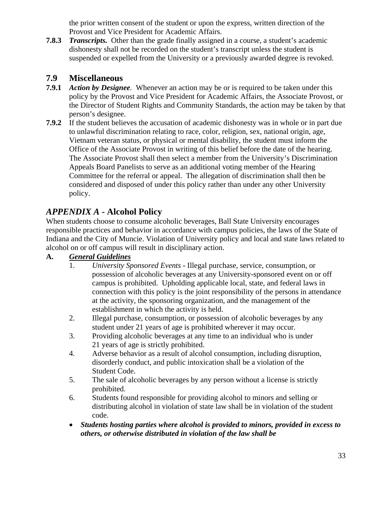the prior written consent of the student or upon the express, written direction of the Provost and Vice President for Academic Affairs.

**7.8.3** *Transcripts.* Other than the grade finally assigned in a course, a student's academic dishonesty shall not be recorded on the student's transcript unless the student is suspended or expelled from the University or a previously awarded degree is revoked.

## **7.9 Miscellaneous**

- **7.9.1** *Action by Designee.* Whenever an action may be or is required to be taken under this policy by the Provost and Vice President for Academic Affairs, the Associate Provost, or the Director of Student Rights and Community Standards, the action may be taken by that person's designee.
- **7.9.2** If the student believes the accusation of academic dishonesty was in whole or in part due to unlawful discrimination relating to race, color, religion, sex, national origin, age, Vietnam veteran status, or physical or mental disability, the student must inform the Office of the Associate Provost in writing of this belief before the date of the hearing. The Associate Provost shall then select a member from the University's Discrimination Appeals Board Panelists to serve as an additional voting member of the Hearing Committee for the referral or appeal. The allegation of discrimination shall then be considered and disposed of under this policy rather than under any other University policy.

## *APPENDIX A* **- Alcohol Policy**

When students choose to consume alcoholic beverages, Ball State University encourages responsible practices and behavior in accordance with campus policies, the laws of the State of Indiana and the City of Muncie. Violation of University policy and local and state laws related to alcohol on or off campus will result in disciplinary action.

### **A.** General Guidelines

- 1. *University Sponsored Events* Illegal purchase, service, consumption, or possession of alcoholic beverages at any University-sponsored event on or off campus is prohibited. Upholding applicable local, state, and federal laws in connection with this policy is the joint responsibility of the persons in attendance at the activity, the sponsoring organization, and the management of the establishment in which the activity is held.
- 2. Illegal purchase, consumption, or possession of alcoholic beverages by any student under 21 years of age is prohibited wherever it may occur.
- 3. Providing alcoholic beverages at any time to an individual who is under 21 years of age is strictly prohibited.
- 4. Adverse behavior as a result of alcohol consumption, including disruption, disorderly conduct, and public intoxication shall be a violation of the Student Code.
- 5. The sale of alcoholic beverages by any person without a license is strictly prohibited.
- 6. Students found responsible for providing alcohol to minors and selling or distributing alcohol in violation of state law shall be in violation of the student code.
- *Students hosting parties where alcohol is provided to minors, provided in excess to others, or otherwise distributed in violation of the law shall be*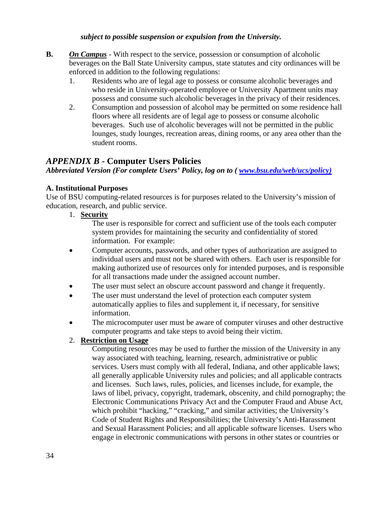#### *subject to possible suspension or expulsion from the University.*

- **B.** On Campus With respect to the service, possession or consumption of alcoholic beverages on the Ball State University campus, state statutes and city ordinances will be enforced in addition to the following regulations:
	- 1. Residents who are of legal age to possess or consume alcoholic beverages and who reside in University-operated employee or University Apartment units may possess and consume such alcoholic beverages in the privacy of their residences.
	- 2. Consumption and possession of alcohol may be permitted on some residence hall floors where all residents are of legal age to possess or consume alcoholic beverages. Such use of alcoholic beverages will not be permitted in the public lounges, study lounges, recreation areas, dining rooms, or any area other than the student rooms.

## *APPENDIX B* **- Computer Users Policies**

*Abbreviated Version (For complete Users' Policy, log on to (www.bsu.edu/web/ucs/policy)* 

#### **A. Institutional Purposes**

Use of BSU computing-related resources is for purposes related to the University's mission of education, research, and public service.

#### 1. **Security**

 The user is responsible for correct and sufficient use of the tools each computer system provides for maintaining the security and confidentiality of stored information. For example:

- Computer accounts, passwords, and other types of authorization are assigned to individual users and must not be shared with others. Each user is responsible for making authorized use of resources only for intended purposes, and is responsible for all transactions made under the assigned account number.
- The user must select an obscure account password and change it frequently.
- The user must understand the level of protection each computer system automatically applies to files and supplement it, if necessary, for sensitive information.
- The microcomputer user must be aware of computer viruses and other destructive computer programs and take steps to avoid being their victim.

#### 2. **Restriction on Usage**

Computing resources may be used to further the mission of the University in any way associated with teaching, learning, research, administrative or public services. Users must comply with all federal, Indiana, and other applicable laws; all generally applicable University rules and policies; and all applicable contracts and licenses. Such laws, rules, policies, and licenses include, for example, the laws of libel, privacy, copyright, trademark, obscenity, and child pornography; the Electronic Communications Privacy Act and the Computer Fraud and Abuse Act, which prohibit "hacking," "cracking," and similar activities; the University's Code of Student Rights and Responsibilities; the University's Anti-Harassment and Sexual Harassment Policies; and all applicable software licenses. Users who engage in electronic communications with persons in other states or countries or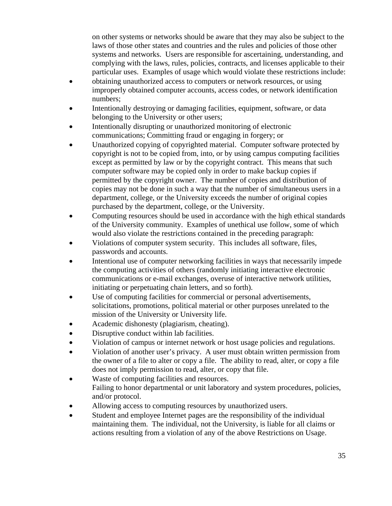on other systems or networks should be aware that they may also be subject to the laws of those other states and countries and the rules and policies of those other systems and networks. Users are responsible for ascertaining, understanding, and complying with the laws, rules, policies, contracts, and licenses applicable to their particular uses. Examples of usage which would violate these restrictions include:

- obtaining unauthorized access to computers or network resources, or using improperly obtained computer accounts, access codes, or network identification numbers;
- Intentionally destroying or damaging facilities, equipment, software, or data belonging to the University or other users;
- Intentionally disrupting or unauthorized monitoring of electronic communications; Committing fraud or engaging in forgery; or
- Unauthorized copying of copyrighted material. Computer software protected by copyright is not to be copied from, into, or by using campus computing facilities except as permitted by law or by the copyright contract. This means that such computer software may be copied only in order to make backup copies if permitted by the copyright owner. The number of copies and distribution of copies may not be done in such a way that the number of simultaneous users in a department, college, or the University exceeds the number of original copies purchased by the department, college, or the University.
- Computing resources should be used in accordance with the high ethical standards of the University community. Examples of unethical use follow, some of which would also violate the restrictions contained in the preceding paragraph:
- Violations of computer system security. This includes all software, files, passwords and accounts.
- Intentional use of computer networking facilities in ways that necessarily impede the computing activities of others (randomly initiating interactive electronic communications or e-mail exchanges, overuse of interactive network utilities, initiating or perpetuating chain letters, and so forth).
- Use of computing facilities for commercial or personal advertisements, solicitations, promotions, political material or other purposes unrelated to the mission of the University or University life.
- Academic dishonesty (plagiarism, cheating).
- Disruptive conduct within lab facilities.
- Violation of campus or internet network or host usage policies and regulations.
- Violation of another user's privacy. A user must obtain written permission from the owner of a file to alter or copy a file. The ability to read, alter, or copy a file does not imply permission to read, alter, or copy that file.
- Waste of computing facilities and resources. Failing to honor departmental or unit laboratory and system procedures, policies, and/or protocol.
- Allowing access to computing resources by unauthorized users.
- Student and employee Internet pages are the responsibility of the individual maintaining them. The individual, not the University, is liable for all claims or actions resulting from a violation of any of the above Restrictions on Usage.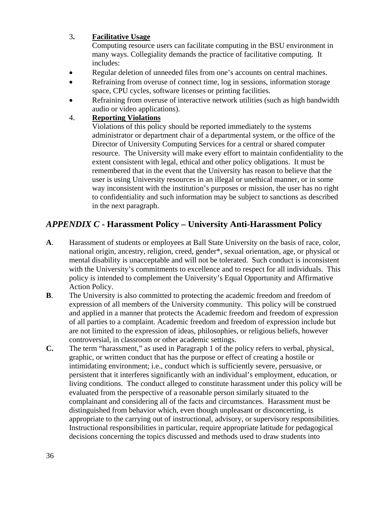#### 3. **Facilitative Usage**

 Computing resource users can facilitate computing in the BSU environment in many ways. Collegiality demands the practice of facilitative computing. It includes:

- Regular deletion of unneeded files from one's accounts on central machines.
- Refraining from overuse of connect time, log in sessions, information storage space, CPU cycles, software licenses or printing facilities.
- Refraining from overuse of interactive network utilities (such as high bandwidth audio or video applications).

#### 4. **Reporting Violations**

Violations of this policy should be reported immediately to the systems administrator or department chair of a departmental system, or the office of the Director of University Computing Services for a central or shared computer resource. The University will make every effort to maintain confidentiality to the extent consistent with legal, ethical and other policy obligations. It must be remembered that in the event that the University has reason to believe that the user is using University resources in an illegal or unethical manner, or in some way inconsistent with the institution's purposes or mission, the user has no right to confidentiality and such information may be subject to sanctions as described in the next paragraph.

# *APPENDIX C* **- Harassment Policy – University Anti-Harassment Policy**

- **A**. Harassment of students or employees at Ball State University on the basis of race, color, national origin, ancestry, religion, creed, gender\*, sexual orientation, age, or physical or mental disability is unacceptable and will not be tolerated. Such conduct is inconsistent with the University's commitments to excellence and to respect for all individuals. This policy is intended to complement the University's Equal Opportunity and Affirmative Action Policy.
- **B**. The University is also committed to protecting the academic freedom and freedom of expression of all members of the University community. This policy will be construed and applied in a manner that protects the Academic freedom and freedom of expression of all parties to a complaint. Academic freedom and freedom of expression include but are not limited to the expression of ideas, philosophies, or religious beliefs, however controversial, in classroom or other academic settings.
- **C.** The term "harassment," as used in Paragraph 1 of the policy refers to verbal, physical, graphic, or written conduct that has the purpose or effect of creating a hostile or intimidating environment; i.e., conduct which is sufficiently severe, persuasive, or persistent that it interferes significantly with an individual's employment, education, or living conditions. The conduct alleged to constitute harassment under this policy will be evaluated from the perspective of a reasonable person similarly situated to the complainant and considering all of the facts and circumstances. Harassment must be distinguished from behavior which, even though unpleasant or disconcerting, is appropriate to the carrying out of instructional, advisory, or supervisory responsibilities. Instructional responsibilities in particular, require appropriate latitude for pedagogical decisions concerning the topics discussed and methods used to draw students into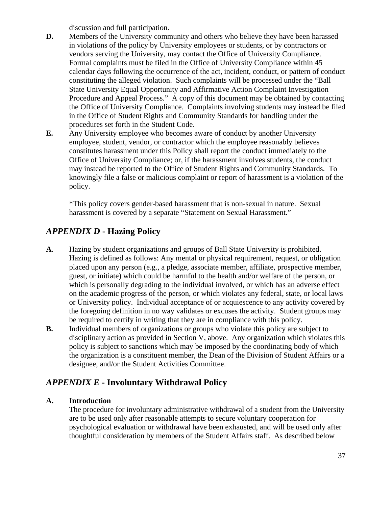discussion and full participation.

- **D.** Members of the University community and others who believe they have been harassed in violations of the policy by University employees or students, or by contractors or vendors serving the University, may contact the Office of University Compliance. Formal complaints must be filed in the Office of University Compliance within 45 calendar days following the occurrence of the act, incident, conduct, or pattern of conduct constituting the alleged violation. Such complaints will be processed under the "Ball State University Equal Opportunity and Affirmative Action Complaint Investigation Procedure and Appeal Process." A copy of this document may be obtained by contacting the Office of University Compliance. Complaints involving students may instead be filed in the Office of Student Rights and Community Standards for handling under the procedures set forth in the Student Code.
- **E.** Any University employee who becomes aware of conduct by another University employee, student, vendor, or contractor which the employee reasonably believes constitutes harassment under this Policy shall report the conduct immediately to the Office of University Compliance; or, if the harassment involves students, the conduct may instead be reported to the Office of Student Rights and Community Standards. To knowingly file a false or malicious complaint or report of harassment is a violation of the policy.

\*This policy covers gender-based harassment that is non-sexual in nature. Sexual harassment is covered by a separate "Statement on Sexual Harassment."

# *APPENDIX D* **- Hazing Policy**

- **A**. Hazing by student organizations and groups of Ball State University is prohibited. Hazing is defined as follows: Any mental or physical requirement, request, or obligation placed upon any person (e.g., a pledge, associate member, affiliate, prospective member, guest, or initiate) which could be harmful to the health and/or welfare of the person, or which is personally degrading to the individual involved, or which has an adverse effect on the academic progress of the person, or which violates any federal, state, or local laws or University policy. Individual acceptance of or acquiescence to any activity covered by the foregoing definition in no way validates or excuses the activity. Student groups may be required to certify in writing that they are in compliance with this policy.
- **B.** Individual members of organizations or groups who violate this policy are subject to disciplinary action as provided in Section V, above. Any organization which violates this policy is subject to sanctions which may be imposed by the coordinating body of which the organization is a constituent member, the Dean of the Division of Student Affairs or a designee, and/or the Student Activities Committee.

## *APPENDIX E* **- Involuntary Withdrawal Policy**

#### **A. Introduction**

The procedure for involuntary administrative withdrawal of a student from the University are to be used only after reasonable attempts to secure voluntary cooperation for psychological evaluation or withdrawal have been exhausted, and will be used only after thoughtful consideration by members of the Student Affairs staff. As described below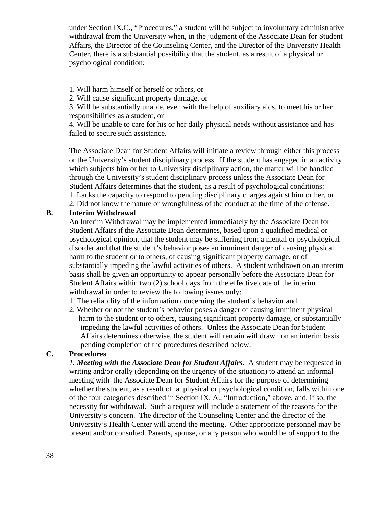under Section IX.C., "Procedures," a student will be subject to involuntary administrative withdrawal from the University when, in the judgment of the Associate Dean for Student Affairs, the Director of the Counseling Center, and the Director of the University Health Center, there is a substantial possibility that the student, as a result of a physical or psychological condition;

1. Will harm himself or herself or others, or

2. Will cause significant property damage, or

3. Will be substantially unable, even with the help of auxiliary aids, to meet his or her responsibilities as a student, or

4. Will be unable to care for his or her daily physical needs without assistance and has failed to secure such assistance.

The Associate Dean for Student Affairs will initiate a review through either this process or the University's student disciplinary process. If the student has engaged in an activity which subjects him or her to University disciplinary action, the matter will be handled through the University's student disciplinary process unless the Associate Dean for Student Affairs determines that the student, as a result of psychological conditions: 1. Lacks the capacity to respond to pending disciplinary charges against him or her, or 2. Did not know the nature or wrongfulness of the conduct at the time of the offense.

#### **B. Interim Withdrawal**

An Interim Withdrawal may be implemented immediately by the Associate Dean for Student Affairs if the Associate Dean determines, based upon a qualified medical or psychological opinion, that the student may be suffering from a mental or psychological disorder and that the student's behavior poses an imminent danger of causing physical harm to the student or to others, of causing significant property damage, or of substantially impeding the lawful activities of others. A student withdrawn on an interim basis shall be given an opportunity to appear personally before the Associate Dean for Student Affairs within two (2) school days from the effective date of the interim withdrawal in order to review the following issues only:

- 1. The reliability of the information concerning the student's behavior and
- 2. Whether or not the student's behavior poses a danger of causing imminent physical harm to the student or to others, causing significant property damage, or substantially impeding the lawful activities of others. Unless the Associate Dean for Student Affairs determines otherwise, the student will remain withdrawn on an interim basis pending completion of the procedures described below.

#### **C. Procedures**

*1. Meeting with the Associate Dean for Student Affairs.* A student may be requested in writing and/or orally (depending on the urgency of the situation) to attend an informal meeting with the Associate Dean for Student Affairs for the purpose of determining whether the student, as a result of a physical or psychological condition, falls within one of the four categories described in Section IX. A., "Introduction," above, and, if so, the necessity for withdrawal. Such a request will include a statement of the reasons for the University's concern. The director of the Counseling Center and the director of the University's Health Center will attend the meeting. Other appropriate personnel may be present and/or consulted. Parents, spouse, or any person who would be of support to the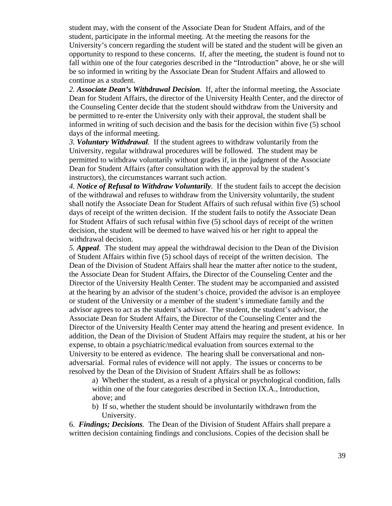student may, with the consent of the Associate Dean for Student Affairs, and of the student, participate in the informal meeting. At the meeting the reasons for the University's concern regarding the student will be stated and the student will be given an opportunity to respond to these concerns. If, after the meeting, the student is found not to fall within one of the four categories described in the "Introduction" above, he or she will be so informed in writing by the Associate Dean for Student Affairs and allowed to continue as a student.

*2. Associate Dean's Withdrawal Decision.* If, after the informal meeting, the Associate Dean for Student Affairs, the director of the University Health Center, and the director of the Counseling Center decide that the student should withdraw from the University and be permitted to re-enter the University only with their approval, the student shall be informed in writing of such decision and the basis for the decision within five (5) school days of the informal meeting.

*3. Voluntary Withdrawal.* If the student agrees to withdraw voluntarily from the University, regular withdrawal procedures will be followed. The student may be permitted to withdraw voluntarily without grades if, in the judgment of the Associate Dean for Student Affairs (after consultation with the approval by the student's instructors), the circumstances warrant such action.

*4. Notice of Refusal to Withdraw Voluntarily.* If the student fails to accept the decision of the withdrawal and refuses to withdraw from the University voluntarily, the student shall notify the Associate Dean for Student Affairs of such refusal within five (5) school days of receipt of the written decision. If the student fails to notify the Associate Dean for Student Affairs of such refusal within five (5) school days of receipt of the written decision, the student will be deemed to have waived his or her right to appeal the withdrawal decision.

*5. Appeal.* The student may appeal the withdrawal decision to the Dean of the Division of Student Affairs within five (5) school days of receipt of the written decision. The Dean of the Division of Student Affairs shall hear the matter after notice to the student, the Associate Dean for Student Affairs, the Director of the Counseling Center and the Director of the University Health Center. The student may be accompanied and assisted at the hearing by an advisor of the student's choice, provided the advisor is an employee or student of the University or a member of the student's immediate family and the advisor agrees to act as the student's advisor. The student, the student's advisor, the Associate Dean for Student Affairs, the Director of the Counseling Center and the Director of the University Health Center may attend the hearing and present evidence. In addition, the Dean of the Division of Student Affairs may require the student, at his or her expense, to obtain a psychiatric/medical evaluation from sources external to the University to be entered as evidence. The hearing shall be conversational and nonadversarial. Formal rules of evidence will not apply. The issues or concerns to be resolved by the Dean of the Division of Student Affairs shall be as follows:

a) Whether the student, as a result of a physical or psychological condition, falls within one of the four categories described in Section IX.A., Introduction, above; and

b) If so, whether the student should be involuntarily withdrawn from the University.

6. *Findings; Decisions.* The Dean of the Division of Student Affairs shall prepare a written decision containing findings and conclusions. Copies of the decision shall be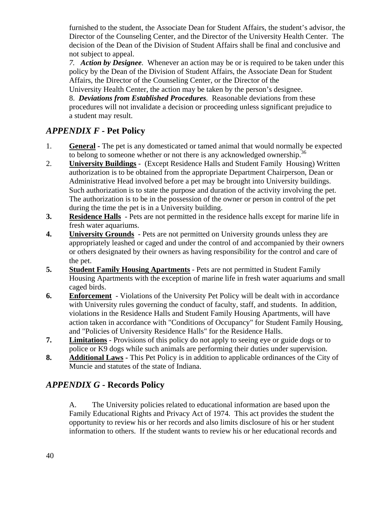furnished to the student, the Associate Dean for Student Affairs, the student's advisor, the Director of the Counseling Center, and the Director of the University Health Center. The decision of the Dean of the Division of Student Affairs shall be final and conclusive and not subject to appeal.

*7. Action by Designee.* Whenever an action may be or is required to be taken under this policy by the Dean of the Division of Student Affairs, the Associate Dean for Student Affairs, the Director of the Counseling Center, or the Director of the

University Health Center, the action may be taken by the person's designee.

8. *Deviations from Established Procedures.* Reasonable deviations from these procedures will not invalidate a decision or proceeding unless significant prejudice to a student may result.

# *APPENDIX F -* **Pet Policy**

- 1. **General -** The pet is any domesticated or tamed animal that would normally be expected to belong to someone whether or not there is any acknowledged ownership.<sup>36</sup>
- 2. **University Buildings** (Except Residence Halls and Student Family Housing) Written authorization is to be obtained from the appropriate Department Chairperson, Dean or Administrative Head involved before a pet may be brought into University buildings. Such authorization is to state the purpose and duration of the activity involving the pet. The authorization is to be in the possession of the owner or person in control of the pet during the time the pet is in a University building.
- **3.** Residence Halls Pets are not permitted in the residence halls except for marine life in fresh water aquariums.
- **4. University Grounds** Pets are not permitted on University grounds unless they are appropriately leashed or caged and under the control of and accompanied by their owners or others designated by their owners as having responsibility for the control and care of the pet.
- **5. Student Family Housing Apartments** Pets are not permitted in Student Family Housing Apartments with the exception of marine life in fresh water aquariums and small caged birds.
- **6. Enforcement** Violations of the University Pet Policy will be dealt with in accordance with University rules governing the conduct of faculty, staff, and students. In addition, violations in the Residence Halls and Student Family Housing Apartments, will have action taken in accordance with "Conditions of Occupancy" for Student Family Housing, and "Policies of University Residence Halls" for the Residence Halls.
- **7. Limitations** Provisions of this policy do not apply to seeing eye or guide dogs or to police or K9 dogs while such animals are performing their duties under supervision.
- **8.** Additional Laws This Pet Policy is in addition to applicable ordinances of the City of Muncie and statutes of the state of Indiana.

# *APPENDIX G* **- Records Policy**

A. The University policies related to educational information are based upon the Family Educational Rights and Privacy Act of 1974. This act provides the student the opportunity to review his or her records and also limits disclosure of his or her student information to others. If the student wants to review his or her educational records and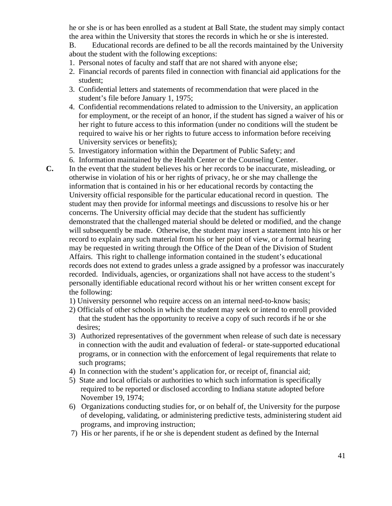he or she is or has been enrolled as a student at Ball State, the student may simply contact the area within the University that stores the records in which he or she is interested.

B. Educational records are defined to be all the records maintained by the University about the student with the following exceptions:

- 1. Personal notes of faculty and staff that are not shared with anyone else;
- 2. Financial records of parents filed in connection with financial aid applications for the student;
- 3. Confidential letters and statements of recommendation that were placed in the student's file before January 1, 1975;
- 4. Confidential recommendations related to admission to the University, an application for employment, or the receipt of an honor, if the student has signed a waiver of his or her right to future access to this information (under no conditions will the student be required to waive his or her rights to future access to information before receiving University services or benefits);
- 5. Investigatory information within the Department of Public Safety; and
- 6. Information maintained by the Health Center or the Counseling Center.
- **C.** In the event that the student believes his or her records to be inaccurate, misleading, or otherwise in violation of his or her rights of privacy, he or she may challenge the information that is contained in his or her educational records by contacting the University official responsible for the particular educational record in question. The student may then provide for informal meetings and discussions to resolve his or her concerns. The University official may decide that the student has sufficiently demonstrated that the challenged material should be deleted or modified, and the change will subsequently be made. Otherwise, the student may insert a statement into his or her record to explain any such material from his or her point of view, or a formal hearing may be requested in writing through the Office of the Dean of the Division of Student Affairs. This right to challenge information contained in the student's educational records does not extend to grades unless a grade assigned by a professor was inaccurately recorded. Individuals, agencies, or organizations shall not have access to the student's personally identifiable educational record without his or her written consent except for the following:
	- 1) University personnel who require access on an internal need-to-know basis;
	- 2) Officials of other schools in which the student may seek or intend to enroll provided that the student has the opportunity to receive a copy of such records if he or she desires;
	- 3) Authorized representatives of the government when release of such date is necessary in connection with the audit and evaluation of federal- or state-supported educational programs, or in connection with the enforcement of legal requirements that relate to such programs;
	- 4) In connection with the student's application for, or receipt of, financial aid;
	- 5) State and local officials or authorities to which such information is specifically required to be reported or disclosed according to Indiana statute adopted before November 19, 1974;
	- 6) Organizations conducting studies for, or on behalf of, the University for the purpose of developing, validating, or administering predictive tests, administering student aid programs, and improving instruction;
	- 7) His or her parents, if he or she is dependent student as defined by the Internal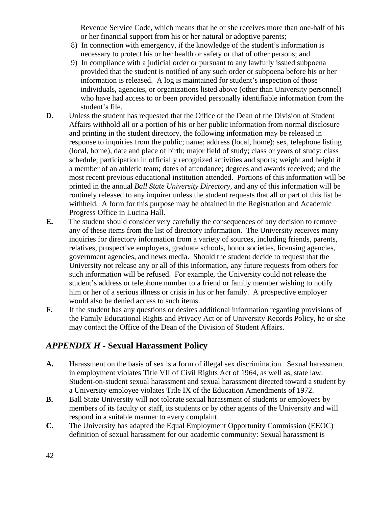Revenue Service Code, which means that he or she receives more than one-half of his or her financial support from his or her natural or adoptive parents;

- 8) In connection with emergency, if the knowledge of the student's information is necessary to protect his or her health or safety or that of other persons; and
- 9) In compliance with a judicial order or pursuant to any lawfully issued subpoena provided that the student is notified of any such order or subpoena before his or her information is released. A log is maintained for student's inspection of those individuals, agencies, or organizations listed above (other than University personnel) who have had access to or been provided personally identifiable information from the student's file.
- **D.** Unless the student has requested that the Office of the Dean of the Division of Student Affairs withhold all or a portion of his or her public information from normal disclosure and printing in the student directory, the following information may be released in response to inquiries from the public; name; address (local, home); sex, telephone listing (local, home), date and place of birth; major field of study; class or years of study; class schedule; participation in officially recognized activities and sports; weight and height if a member of an athletic team; dates of attendance; degrees and awards received; and the most recent previous educational institution attended. Portions of this information will be printed in the annual *Ball State University Directory,* and any of this information will be routinely released to any inquirer unless the student requests that all or part of this list be withheld. A form for this purpose may be obtained in the Registration and Academic Progress Office in Lucina Hall.
- **E.** The student should consider very carefully the consequences of any decision to remove any of these items from the list of directory information. The University receives many inquiries for directory information from a variety of sources, including friends, parents, relatives, prospective employers, graduate schools, honor societies, licensing agencies, government agencies, and news media. Should the student decide to request that the University not release any or all of this information, any future requests from others for such information will be refused. For example, the University could not release the student's address or telephone number to a friend or family member wishing to notify him or her of a serious illness or crisis in his or her family. A prospective employer would also be denied access to such items.
- **F.** If the student has any questions or desires additional information regarding provisions of the Family Educational Rights and Privacy Act or of University Records Policy, he or she may contact the Office of the Dean of the Division of Student Affairs.

# *APPENDIX H* **- Sexual Harassment Policy**

- **A.** Harassment on the basis of sex is a form of illegal sex discrimination. Sexual harassment in employment violates Title VII of Civil Rights Act of 1964, as well as, state law. Student-on-student sexual harassment and sexual harassment directed toward a student by a University employee violates Title IX of the Education Amendments of 1972.
- **B.** Ball State University will not tolerate sexual harassment of students or employees by members of its faculty or staff, its students or by other agents of the University and will respond in a suitable manner to every complaint.
- **C.** The University has adapted the Equal Employment Opportunity Commission (EEOC) definition of sexual harassment for our academic community: Sexual harassment is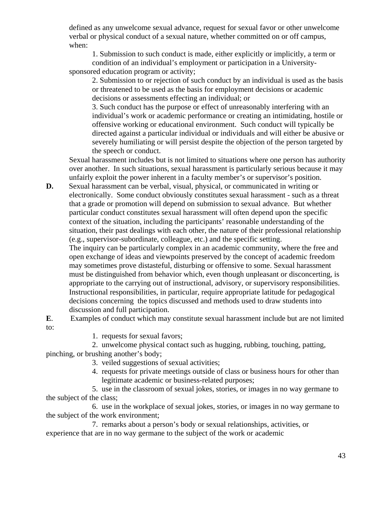defined as any unwelcome sexual advance, request for sexual favor or other unwelcome verbal or physical conduct of a sexual nature, whether committed on or off campus, when:

 1. Submission to such conduct is made, either explicitly or implicitly, a term or condition of an individual's employment or participation in a Universitysponsored education program or activity;

2. Submission to or rejection of such conduct by an individual is used as the basis or threatened to be used as the basis for employment decisions or academic decisions or assessments effecting an individual; or

 3. Such conduct has the purpose or effect of unreasonably interfering with an individual's work or academic performance or creating an intimidating, hostile or offensive working or educational environment. Such conduct will typically be directed against a particular individual or individuals and will either be abusive or severely humiliating or will persist despite the objection of the person targeted by the speech or conduct.

Sexual harassment includes but is not limited to situations where one person has authority over another. In such situations, sexual harassment is particularly serious because it may unfairly exploit the power inherent in a faculty member's or supervisor's position.

**D.** Sexual harassment can be verbal, visual, physical, or communicated in writing or electronically. Some conduct obviously constitutes sexual harassment - such as a threat that a grade or promotion will depend on submission to sexual advance. But whether particular conduct constitutes sexual harassment will often depend upon the specific context of the situation, including the participants' reasonable understanding of the situation, their past dealings with each other, the nature of their professional relationship (e.g., supervisor-subordinate, colleague, etc.) and the specific setting.

The inquiry can be particularly complex in an academic community, where the free and open exchange of ideas and viewpoints preserved by the concept of academic freedom may sometimes prove distasteful, disturbing or offensive to some. Sexual harassment must be distinguished from behavior which, even though unpleasant or disconcerting, is appropriate to the carrying out of instructional, advisory, or supervisory responsibilities. Instructional responsibilities, in particular, require appropriate latitude for pedagogical decisions concerning the topics discussed and methods used to draw students into discussion and full participation.

- **E**. Examples of conduct which may constitute sexual harassment include but are not limited to:
	- 1. requests for sexual favors;

 2. unwelcome physical contact such as hugging, rubbing, touching, patting, pinching, or brushing another's body;

- 3. veiled suggestions of sexual activities;
- 4. requests for private meetings outside of class or business hours for other than legitimate academic or business-related purposes;

 5. use in the classroom of sexual jokes, stories, or images in no way germane to the subject of the class;

 6. use in the workplace of sexual jokes, stories, or images in no way germane to the subject of the work environment;

 7. remarks about a person's body or sexual relationships, activities, or experience that are in no way germane to the subject of the work or academic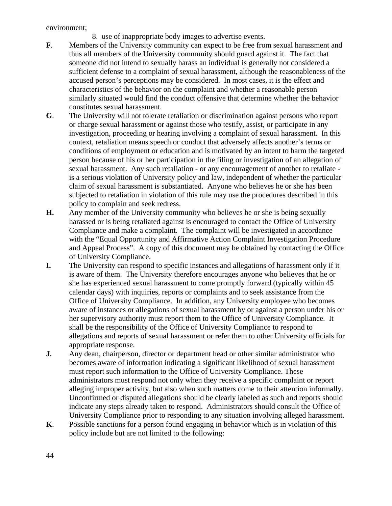environment;

8. use of inappropriate body images to advertise events.

- **F**. Members of the University community can expect to be free from sexual harassment and thus all members of the University community should guard against it. The fact that someone did not intend to sexually harass an individual is generally not considered a sufficient defense to a complaint of sexual harassment, although the reasonableness of the accused person's perceptions may be considered. In most cases, it is the effect and characteristics of the behavior on the complaint and whether a reasonable person similarly situated would find the conduct offensive that determine whether the behavior constitutes sexual harassment.
- **G**. The University will not tolerate retaliation or discrimination against persons who report or charge sexual harassment or against those who testify, assist, or participate in any investigation, proceeding or hearing involving a complaint of sexual harassment. In this context, retaliation means speech or conduct that adversely affects another's terms or conditions of employment or education and is motivated by an intent to harm the targeted person because of his or her participation in the filing or investigation of an allegation of sexual harassment. Any such retaliation - or any encouragement of another to retaliate is a serious violation of University policy and law, independent of whether the particular claim of sexual harassment is substantiated. Anyone who believes he or she has been subjected to retaliation in violation of this rule may use the procedures described in this policy to complain and seek redress.
- **H.** Any member of the University community who believes he or she is being sexually harassed or is being retaliated against is encouraged to contact the Office of University Compliance and make a complaint. The complaint will be investigated in accordance with the "Equal Opportunity and Affirmative Action Complaint Investigation Procedure and Appeal Process". A copy of this document may be obtained by contacting the Office of University Compliance.
- **I.** The University can respond to specific instances and allegations of harassment only if it is aware of them. The University therefore encourages anyone who believes that he or she has experienced sexual harassment to come promptly forward (typically within 45 calendar days) with inquiries, reports or complaints and to seek assistance from the Office of University Compliance. In addition, any University employee who becomes aware of instances or allegations of sexual harassment by or against a person under his or her supervisory authority must report them to the Office of University Compliance. It shall be the responsibility of the Office of University Compliance to respond to allegations and reports of sexual harassment or refer them to other University officials for appropriate response.
- **J.** Any dean, chairperson, director or department head or other similar administrator who becomes aware of information indicating a significant likelihood of sexual harassment must report such information to the Office of University Compliance. These administrators must respond not only when they receive a specific complaint or report alleging improper activity, but also when such matters come to their attention informally. Unconfirmed or disputed allegations should be clearly labeled as such and reports should indicate any steps already taken to respond. Administrators should consult the Office of University Compliance prior to responding to any situation involving alleged harassment.
- **K**. Possible sanctions for a person found engaging in behavior which is in violation of this policy include but are not limited to the following: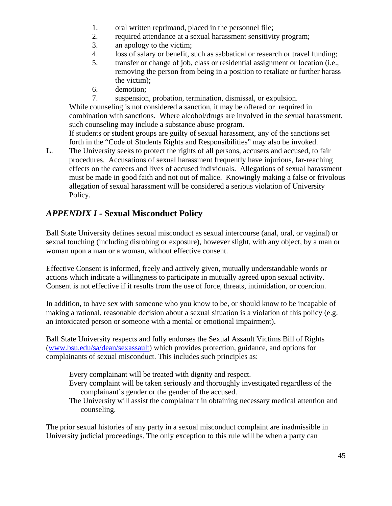- 1. oral written reprimand, placed in the personnel file;
- 2. required attendance at a sexual harassment sensitivity program;
- 3. an apology to the victim;
- 4. loss of salary or benefit, such as sabbatical or research or travel funding;
- 5. transfer or change of job, class or residential assignment or location (i.e., removing the person from being in a position to retaliate or further harass the victim);
- 6. demotion;
- 7. suspension, probation, termination, dismissal, or expulsion.

While counseling is not considered a sanction, it may be offered or required in combination with sanctions. Where alcohol/drugs are involved in the sexual harassment, such counseling may include a substance abuse program.

If students or student groups are guilty of sexual harassment, any of the sanctions set forth in the "Code of Students Rights and Responsibilities" may also be invoked.

**L**. The University seeks to protect the rights of all persons, accusers and accused, to fair procedures. Accusations of sexual harassment frequently have injurious, far-reaching effects on the careers and lives of accused individuals. Allegations of sexual harassment must be made in good faith and not out of malice. Knowingly making a false or frivolous allegation of sexual harassment will be considered a serious violation of University Policy.

# *APPENDIX I -* **Sexual Misconduct Policy**

Ball State University defines sexual misconduct as sexual intercourse (anal, oral, or vaginal) or sexual touching (including disrobing or exposure), however slight, with any object, by a man or woman upon a man or a woman, without effective consent.

Effective Consent is informed, freely and actively given, mutually understandable words or actions which indicate a willingness to participate in mutually agreed upon sexual activity. Consent is not effective if it results from the use of force, threats, intimidation, or coercion.

In addition, to have sex with someone who you know to be, or should know to be incapable of making a rational, reasonable decision about a sexual situation is a violation of this policy (e.g. an intoxicated person or someone with a mental or emotional impairment).

Ball State University respects and fully endorses the Sexual Assault Victims Bill of Rights ([www.bsu.edu/sa/dean/sexassault](http://www.bsu.edu/sa/dean/sexassault)) which provides protection, guidance, and options for complainants of sexual misconduct. This includes such principles as:

Every complainant will be treated with dignity and respect.

- Every complaint will be taken seriously and thoroughly investigated regardless of the complainant's gender or the gender of the accused.
- The University will assist the complainant in obtaining necessary medical attention and counseling.

The prior sexual histories of any party in a sexual misconduct complaint are inadmissible in University judicial proceedings. The only exception to this rule will be when a party can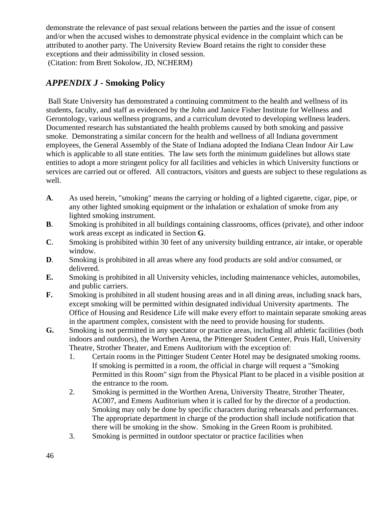demonstrate the relevance of past sexual relations between the parties and the issue of consent and/or when the accused wishes to demonstrate physical evidence in the complaint which can be attributed to another party. The University Review Board retains the right to consider these exceptions and their admissibility in closed session.

(Citation: from Brett Sokolow, JD, NCHERM)

## *APPENDIX J* **- Smoking Policy**

Ball State University has demonstrated a continuing commitment to the health and wellness of its students, faculty, and staff as evidenced by the John and Janice Fisher Institute for Wellness and Gerontology, various wellness programs, and a curriculum devoted to developing wellness leaders. Documented research has substantiated the health problems caused by both smoking and passive smoke. Demonstrating a similar concern for the health and wellness of all Indiana government employees, the General Assembly of the State of Indiana adopted the Indiana Clean Indoor Air Law which is applicable to all state entities. The law sets forth the minimum guidelines but allows state entities to adopt a more stringent policy for all facilities and vehicles in which University functions or services are carried out or offered. All contractors, visitors and guests are subject to these regulations as well.

- **A**. As used herein, "smoking" means the carrying or holding of a lighted cigarette, cigar, pipe, or any other lighted smoking equipment or the inhalation or exhalation of smoke from any lighted smoking instrument.
- **B**. Smoking is prohibited in all buildings containing classrooms, offices (private), and other indoor work areas except as indicated in Section **G**.
- **C**. Smoking is prohibited within 30 feet of any university building entrance, air intake, or operable window.
- **D**. Smoking is prohibited in all areas where any food products are sold and/or consumed, or delivered.
- **E.** Smoking is prohibited in all University vehicles, including maintenance vehicles, automobiles, and public carriers.
- **F.** Smoking is prohibited in all student housing areas and in all dining areas, including snack bars, except smoking will be permitted within designated individual University apartments. The Office of Housing and Residence Life will make every effort to maintain separate smoking areas in the apartment complex, consistent with the need to provide housing for students.
- **G.** Smoking is not permitted in any spectator or practice areas, including all athletic facilities (both indoors and outdoors), the Worthen Arena, the Pittenger Student Center, Pruis Hall, University Theatre, Strother Theater, and Emens Auditorium with the exception of:
	- 1. Certain rooms in the Pittinger Student Center Hotel may be designated smoking rooms. If smoking is permitted in a room, the official in charge will request a "Smoking Permitted in this Room" sign from the Physical Plant to be placed in a visible position at the entrance to the room.
	- 2. Smoking is permitted in the Worthen Arena, University Theatre, Strother Theater, AC007, and Emens Auditorium when it is called for by the director of a production. Smoking may only be done by specific characters during rehearsals and performances. The appropriate department in charge of the production shall include notification that there will be smoking in the show. Smoking in the Green Room is prohibited.
	- 3. Smoking is permitted in outdoor spectator or practice facilities when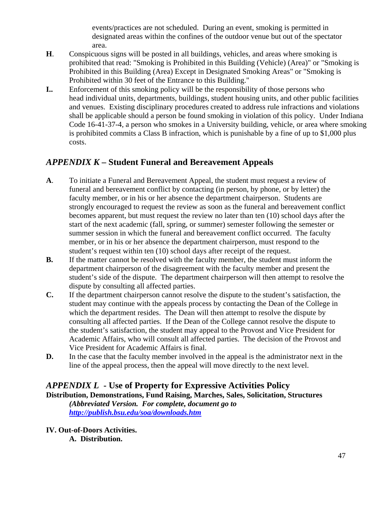events/practices are not scheduled. During an event, smoking is permitted in designated areas within the confines of the outdoor venue but out of the spectator area.

- **H**. Conspicuous signs will be posted in all buildings, vehicles, and areas where smoking is prohibited that read: "Smoking is Prohibited in this Building (Vehicle) (Area)" or "Smoking is Prohibited in this Building (Area) Except in Designated Smoking Areas" or "Smoking is Prohibited within 30 feet of the Entrance to this Building."
- **I..** Enforcement of this smoking policy will be the responsibility of those persons who head individual units, departments, buildings, student housing units, and other public facilities and venues. Existing disciplinary procedures created to address rule infractions and violations shall be applicable should a person be found smoking in violation of this policy. Under Indiana Code 16-41-37-4, a person who smokes in a University building, vehicle, or area where smoking is prohibited commits a Class B infraction, which is punishable by a fine of up to \$1,000 plus costs.

## *APPENDIX K* **– Student Funeral and Bereavement Appeals**

- **A**. To initiate a Funeral and Bereavement Appeal, the student must request a review of funeral and bereavement conflict by contacting (in person, by phone, or by letter) the faculty member, or in his or her absence the department chairperson. Students are strongly encouraged to request the review as soon as the funeral and bereavement conflict becomes apparent, but must request the review no later than ten (10) school days after the start of the next academic (fall, spring, or summer) semester following the semester or summer session in which the funeral and bereavement conflict occurred. The faculty member, or in his or her absence the department chairperson, must respond to the student's request within ten (10) school days after receipt of the request.
- **B.** If the matter cannot be resolved with the faculty member, the student must inform the department chairperson of the disagreement with the faculty member and present the student's side of the dispute. The department chairperson will then attempt to resolve the dispute by consulting all affected parties.
- **C.** If the department chairperson cannot resolve the dispute to the student's satisfaction, the student may continue with the appeals process by contacting the Dean of the College in which the department resides. The Dean will then attempt to resolve the dispute by consulting all affected parties. If the Dean of the College cannot resolve the dispute to the student's satisfaction, the student may appeal to the Provost and Vice President for Academic Affairs, who will consult all affected parties. The decision of the Provost and Vice President for Academic Affairs is final.
- **D.** In the case that the faculty member involved in the appeal is the administrator next in the line of the appeal process, then the appeal will move directly to the next level.

## *APPENDIX L* **- Use of Property for Expressive Activities Policy**

**Distribution, Demonstrations, Fund Raising, Marches, Sales, Solicitation, Structures**  *(Abbreviated Version. For complete, document go to http://publish.bsu.edu/soa/downloads.htm*

**IV. Out-of-Doors Activities. A. Distribution.**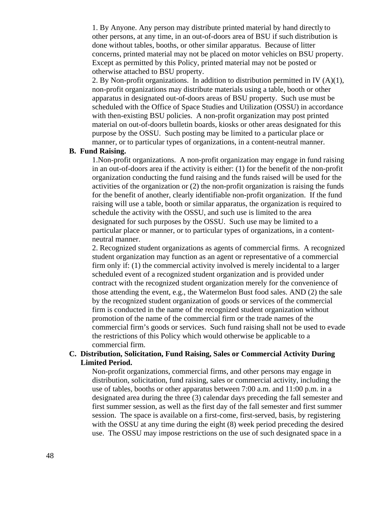1. By Anyone. Any person may distribute printed material by hand directly to other persons, at any time, in an out-of-doors area of BSU if such distribution is done without tables, booths, or other similar apparatus. Because of litter concerns, printed material may not be placed on motor vehicles on BSU property. Except as permitted by this Policy, printed material may not be posted or otherwise attached to BSU property.

2. By Non-profit organizations. In addition to distribution permitted in IV (A)(1), non-profit organizations may distribute materials using a table, booth or other apparatus in designated out-of-doors areas of BSU property. Such use must be scheduled with the Office of Space Studies and Utilization (OSSU) in accordance with then-existing BSU policies. A non-profit organization may post printed material on out-of-doors bulletin boards, kiosks or other areas designated for this purpose by the OSSU. Such posting may be limited to a particular place or manner, or to particular types of organizations, in a content-neutral manner.

#### **B. Fund Raising.**

 1.Non-profit organizations. A non-profit organization may engage in fund raising in an out-of-doors area if the activity is either: (1) for the benefit of the non-profit organization conducting the fund raising and the funds raised will be used for the activities of the organization or (2) the non-profit organization is raising the funds for the benefit of another, clearly identifiable non-profit organization. If the fund raising will use a table, booth or similar apparatus, the organization is required to schedule the activity with the OSSU, and such use is limited to the area designated for such purposes by the OSSU. Such use may be limited to a particular place or manner, or to particular types of organizations, in a contentneutral manner.

 2. Recognized student organizations as agents of commercial firms. A recognized student organization may function as an agent or representative of a commercial firm only if: (1) the commercial activity involved is merely incidental to a larger scheduled event of a recognized student organization and is provided under contract with the recognized student organization merely for the convenience of those attending the event, e.g., the Watermelon Bust food sales. AND (2) the sale by the recognized student organization of goods or services of the commercial firm is conducted in the name of the recognized student organization without promotion of the name of the commercial firm or the trade names of the commercial firm's goods or services. Such fund raising shall not be used to evade the restrictions of this Policy which would otherwise be applicable to a commercial firm.

#### **C. Distribution, Solicitation, Fund Raising, Sales or Commercial Activity During Limited Period.**

Non-profit organizations, commercial firms, and other persons may engage in distribution, solicitation, fund raising, sales or commercial activity, including the use of tables, booths or other apparatus between 7:00 a.m. and 11:00 p.m. in a designated area during the three (3) calendar days preceding the fall semester and first summer session, as well as the first day of the fall semester and first summer session. The space is available on a first-come, first-served, basis, by registering with the OSSU at any time during the eight (8) week period preceding the desired use. The OSSU may impose restrictions on the use of such designated space in a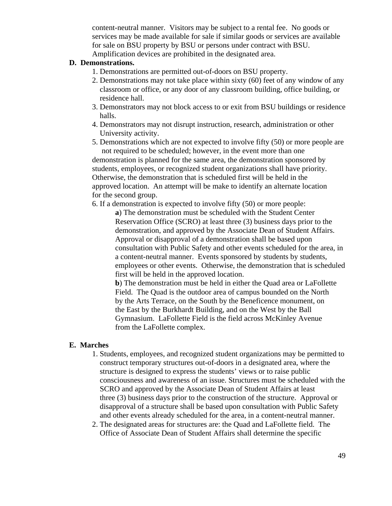content-neutral manner. Visitors may be subject to a rental fee. No goods or services may be made available for sale if similar goods or services are available for sale on BSU property by BSU or persons under contract with BSU. Amplification devices are prohibited in the designated area.

#### **D. Demonstrations.**

- 1. Demonstrations are permitted out-of-doors on BSU property.
- 2. Demonstrations may not take place within sixty (60) feet of any window of any classroom or office, or any door of any classroom building, office building, or residence hall.
- 3. Demonstrators may not block access to or exit from BSU buildings or residence halls.
- 4. Demonstrators may not disrupt instruction, research, administration or other University activity.
- 5. Demonstrations which are not expected to involve fifty (50) or more people are not required to be scheduled; however, in the event more than one demonstration is planned for the same area, the demonstration sponsored by students, employees, or recognized student organizations shall have priority. Otherwise, the demonstration that is scheduled first will be held in the approved location. An attempt will be make to identify an alternate location for the second group.

6. If a demonstration is expected to involve fifty (50) or more people:

**a**) The demonstration must be scheduled with the Student Center Reservation Office (SCRO) at least three (3) business days prior to the demonstration, and approved by the Associate Dean of Student Affairs. Approval or disapproval of a demonstration shall be based upon consultation with Public Safety and other events scheduled for the area, in a content-neutral manner. Events sponsored by students by students, employees or other events. Otherwise, the demonstration that is scheduled first will be held in the approved location.

**b**) The demonstration must be held in either the Quad area or LaFollette Field. The Quad is the outdoor area of campus bounded on the North by the Arts Terrace, on the South by the Beneficence monument, on the East by the Burkhardt Building, and on the West by the Ball Gymnasium. LaFollette Field is the field across McKinley Avenue from the LaFollette complex.

#### **E. Marches**

- 1. Students, employees, and recognized student organizations may be permitted to construct temporary structures out-of-doors in a designated area, where the structure is designed to express the students' views or to raise public consciousness and awareness of an issue. Structures must be scheduled with the SCRO and approved by the Associate Dean of Student Affairs at least three (3) business days prior to the construction of the structure. Approval or disapproval of a structure shall be based upon consultation with Public Safety and other events already scheduled for the area, in a content-neutral manner.
- 2. The designated areas for structures are: the Quad and LaFollette field. The Office of Associate Dean of Student Affairs shall determine the specific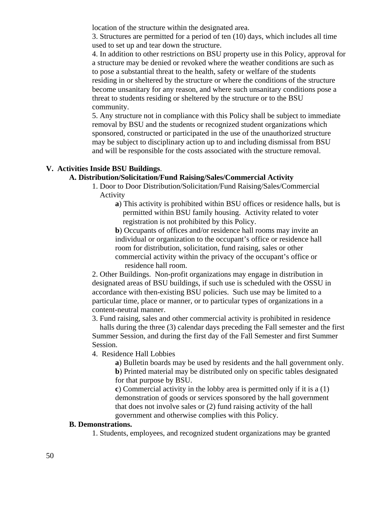location of the structure within the designated area.

3. Structures are permitted for a period of ten (10) days, which includes all time used to set up and tear down the structure.

4. In addition to other restrictions on BSU property use in this Policy, approval for a structure may be denied or revoked where the weather conditions are such as to pose a substantial threat to the health, safety or welfare of the students residing in or sheltered by the structure or where the conditions of the structure become unsanitary for any reason, and where such unsanitary conditions pose a threat to students residing or sheltered by the structure or to the BSU community.

5. Any structure not in compliance with this Policy shall be subject to immediate removal by BSU and the students or recognized student organizations which sponsored, constructed or participated in the use of the unauthorized structure may be subject to disciplinary action up to and including dismissal from BSU and will be responsible for the costs associated with the structure removal.

#### **V. Activities Inside BSU Buildings**.

#### **A. Distribution/Solicitation/Fund Raising/Sales/Commercial Activity**

- 1. Door to Door Distribution/Solicitation/Fund Raising/Sales/Commercial Activity
	- **a**) This activity is prohibited within BSU offices or residence halls, but is permitted within BSU family housing. Activity related to voter registration is not prohibited by this Policy.

**b**) Occupants of offices and/or residence hall rooms may invite an individual or organization to the occupant's office or residence hall room for distribution, solicitation, fund raising, sales or other commercial activity within the privacy of the occupant's office or residence hall room.

2. Other Buildings. Non-profit organizations may engage in distribution in designated areas of BSU buildings, if such use is scheduled with the OSSU in accordance with then-existing BSU policies. Such use may be limited to a particular time, place or manner, or to particular types of organizations in a content-neutral manner.

3. Fund raising, sales and other commercial activity is prohibited in residence halls during the three (3) calendar days preceding the Fall semester and the first Summer Session, and during the first day of the Fall Semester and first Summer Session.

4. Residence Hall Lobbies

**a**) Bulletin boards may be used by residents and the hall government only. **b**) Printed material may be distributed only on specific tables designated for that purpose by BSU.

**c**) Commercial activity in the lobby area is permitted only if it is a (1) demonstration of goods or services sponsored by the hall government that does not involve sales or (2) fund raising activity of the hall government and otherwise complies with this Policy.

#### **B. Demonstrations.**

1. Students, employees, and recognized student organizations may be granted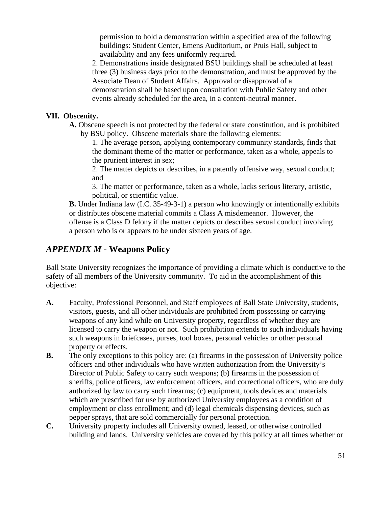permission to hold a demonstration within a specified area of the following buildings: Student Center, Emens Auditorium, or Pruis Hall, subject to availability and any fees uniformly required.

2. Demonstrations inside designated BSU buildings shall be scheduled at least three (3) business days prior to the demonstration, and must be approved by the Associate Dean of Student Affairs. Approval or disapproval of a demonstration shall be based upon consultation with Public Safety and other events already scheduled for the area, in a content-neutral manner.

#### **VII. Obscenity.**

**A.** Obscene speech is not protected by the federal or state constitution, and is prohibited by BSU policy. Obscene materials share the following elements:

1. The average person, applying contemporary community standards, finds that the dominant theme of the matter or performance, taken as a whole, appeals to the prurient interest in sex;

2. The matter depicts or describes, in a patently offensive way, sexual conduct; and

3. The matter or performance, taken as a whole, lacks serious literary, artistic, political, or scientific value.

**B.** Under Indiana law (I.C. 35-49-3-1) a person who knowingly or intentionally exhibits or distributes obscene material commits a Class A misdemeanor. However, the offense is a Class D felony if the matter depicts or describes sexual conduct involving a person who is or appears to be under sixteen years of age.

### *APPENDIX M* **- Weapons Policy**

Ball State University recognizes the importance of providing a climate which is conductive to the safety of all members of the University community. To aid in the accomplishment of this objective:

- **A.** Faculty, Professional Personnel, and Staff employees of Ball State University, students, visitors, guests, and all other individuals are prohibited from possessing or carrying weapons of any kind while on University property, regardless of whether they are licensed to carry the weapon or not. Such prohibition extends to such individuals having such weapons in briefcases, purses, tool boxes, personal vehicles or other personal property or effects.
- **B.** The only exceptions to this policy are: (a) firearms in the possession of University police officers and other individuals who have written authorization from the University's Director of Public Safety to carry such weapons; (b) firearms in the possession of sheriffs, police officers, law enforcement officers, and correctional officers, who are duly authorized by law to carry such firearms; (c) equipment, tools devices and materials which are prescribed for use by authorized University employees as a condition of employment or class enrollment; and (d) legal chemicals dispensing devices, such as pepper sprays, that are sold commercially for personal protection.
- **C.** University property includes all University owned, leased, or otherwise controlled building and lands. University vehicles are covered by this policy at all times whether or